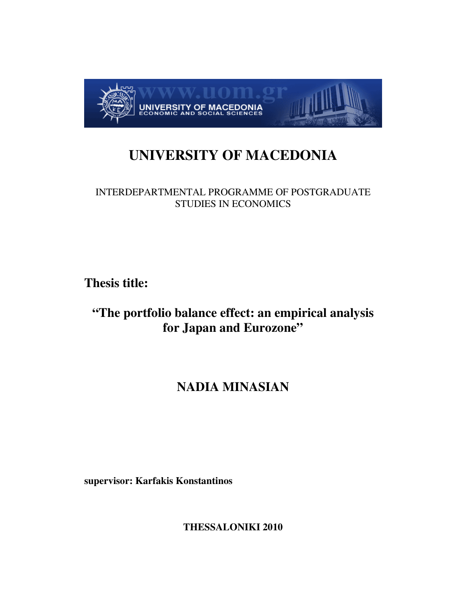

# **UNIVERSITY OF MACEDONIA**

## INTERDEPARTMENTAL PROGRAMME OF POSTGRADUATE STUDIES IN ECONOMICS

**Thesis title:** 

## **"The portfolio balance effect: an empirical analysis for Japan and Eurozone"**

# **NADIA MINASIAN**

**supervisor: Karfakis Konstantinos** 

**THESSALONIKI 2010**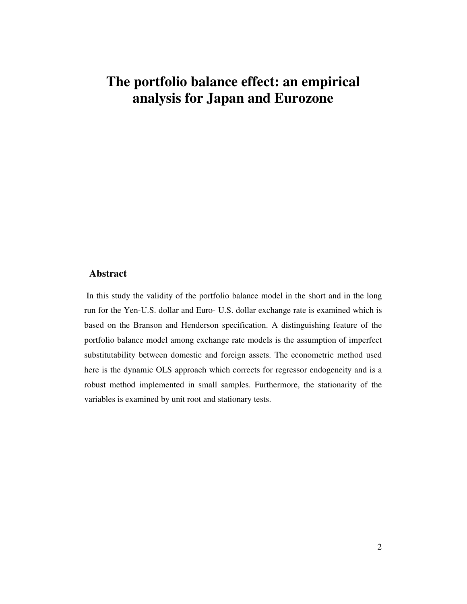# **The portfolio balance effect: an empirical analysis for Japan and Eurozone**

### **Abstract**

In this study the validity of the portfolio balance model in the short and in the long run for the Yen-U.S. dollar and Euro- U.S. dollar exchange rate is examined which is based on the Branson and Henderson specification. A distinguishing feature of the portfolio balance model among exchange rate models is the assumption of imperfect substitutability between domestic and foreign assets. The econometric method used here is the dynamic OLS approach which corrects for regressor endogeneity and is a robust method implemented in small samples. Furthermore, the stationarity of the variables is examined by unit root and stationary tests.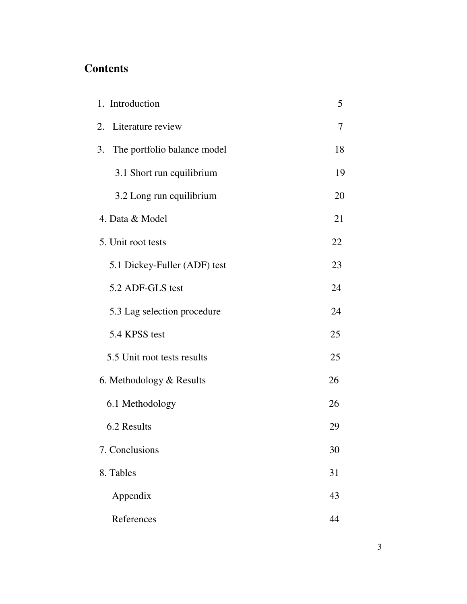## **Contents**

| 1. Introduction                   | 5  |
|-----------------------------------|----|
| 2.<br>Literature review           | 7  |
| 3.<br>The portfolio balance model | 18 |
| 3.1 Short run equilibrium         | 19 |
| 3.2 Long run equilibrium          | 20 |
| 4. Data & Model                   | 21 |
| 5. Unit root tests                | 22 |
| 5.1 Dickey-Fuller (ADF) test      | 23 |
| 5.2 ADF-GLS test                  | 24 |
| 5.3 Lag selection procedure       | 24 |
| 5.4 KPSS test                     | 25 |
| 5.5 Unit root tests results       | 25 |
| 6. Methodology & Results          | 26 |
| 6.1 Methodology                   | 26 |
| 6.2 Results                       | 29 |
| 7. Conclusions                    | 30 |
| 8. Tables                         | 31 |
| Appendix                          | 43 |
| References                        | 44 |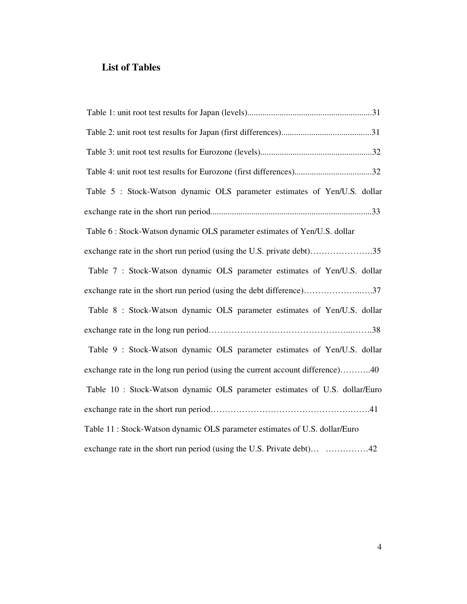## **List of Tables**

| Table 5 : Stock-Watson dynamic OLS parameter estimates of Yen/U.S. dollar     |
|-------------------------------------------------------------------------------|
|                                                                               |
| Table 6 : Stock-Watson dynamic OLS parameter estimates of Yen/U.S. dollar     |
| exchange rate in the short run period (using the U.S. private debt)35         |
| Table 7 : Stock-Watson dynamic OLS parameter estimates of Yen/U.S. dollar     |
|                                                                               |
| Table 8 : Stock-Watson dynamic OLS parameter estimates of Yen/U.S. dollar     |
|                                                                               |
| Table 9 : Stock-Watson dynamic OLS parameter estimates of Yen/U.S. dollar     |
| exchange rate in the long run period (using the current account difference)40 |
| Table 10 : Stock-Watson dynamic OLS parameter estimates of U.S. dollar/Euro   |
|                                                                               |
| Table 11: Stock-Watson dynamic OLS parameter estimates of U.S. dollar/Euro    |
| exchange rate in the short run period (using the U.S. Private debt) 42        |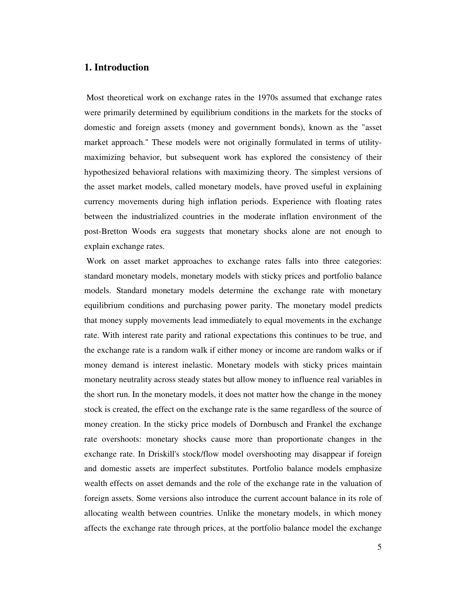## **1. Introduction**

 Most theoretical work on exchange rates in the 1970s assumed that exchange rates were primarily determined by equilibrium conditions in the markets for the stocks of domestic and foreign assets (money and government bonds), known as the "asset market approach." These models were not originally formulated in terms of utilitymaximizing behavior, but subsequent work has explored the consistency of their hypothesized behavioral relations with maximizing theory. The simplest versions of the asset market models, called monetary models, have proved useful in explaining currency movements during high inflation periods. Experience with floating rates between the industrialized countries in the moderate inflation environment of the post-Bretton Woods era suggests that monetary shocks alone are not enough to explain exchange rates.

 Work on asset market approaches to exchange rates falls into three categories: standard monetary models, monetary models with sticky prices and portfolio balance models. Standard monetary models determine the exchange rate with monetary equilibrium conditions and purchasing power parity. The monetary model predicts that money supply movements lead immediately to equal movements in the exchange rate. With interest rate parity and rational expectations this continues to be true, and the exchange rate is a random walk if either money or income are random walks or if money demand is interest inelastic. Monetary models with sticky prices maintain monetary neutrality across steady states but allow money to influence real variables in the short run. In the monetary models, it does not matter how the change in the money stock is created, the effect on the exchange rate is the same regardless of the source of money creation. In the sticky price models of Dornbusch and Frankel the exchange rate overshoots: monetary shocks cause more than proportionate changes in the exchange rate. In Driskill's stock/flow model overshooting may disappear if foreign and domestic assets are imperfect substitutes. Portfolio balance models emphasize wealth effects on asset demands and the role of the exchange rate in the valuation of foreign assets. Some versions also introduce the current account balance in its role of allocating wealth between countries. Unlike the monetary models, in which money affects the exchange rate through prices, at the portfolio balance model the exchange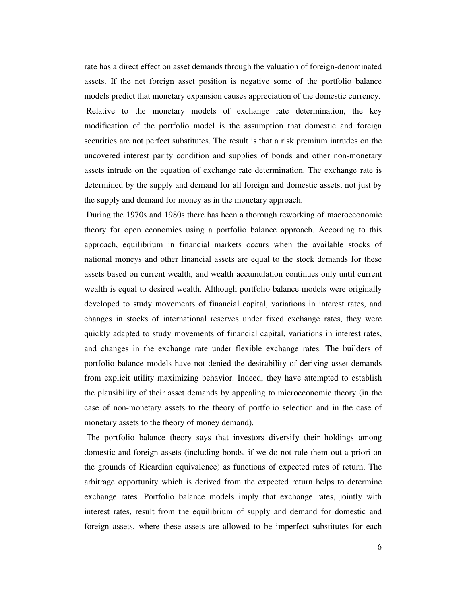rate has a direct effect on asset demands through the valuation of foreign-denominated assets. If the net foreign asset position is negative some of the portfolio balance models predict that monetary expansion causes appreciation of the domestic currency. Relative to the monetary models of exchange rate determination, the key modification of the portfolio model is the assumption that domestic and foreign securities are not perfect substitutes. The result is that a risk premium intrudes on the uncovered interest parity condition and supplies of bonds and other non-monetary assets intrude on the equation of exchange rate determination. The exchange rate is determined by the supply and demand for all foreign and domestic assets, not just by the supply and demand for money as in the monetary approach.

 During the 1970s and 1980s there has been a thorough reworking of macroeconomic theory for open economies using a portfolio balance approach. According to this approach, equilibrium in financial markets occurs when the available stocks of national moneys and other financial assets are equal to the stock demands for these assets based on current wealth, and wealth accumulation continues only until current wealth is equal to desired wealth. Although portfolio balance models were originally developed to study movements of financial capital, variations in interest rates, and changes in stocks of international reserves under fixed exchange rates, they were quickly adapted to study movements of financial capital, variations in interest rates, and changes in the exchange rate under flexible exchange rates. The builders of portfolio balance models have not denied the desirability of deriving asset demands from explicit utility maximizing behavior. Indeed, they have attempted to establish the plausibility of their asset demands by appealing to microeconomic theory (in the case of non-monetary assets to the theory of portfolio selection and in the case of monetary assets to the theory of money demand).

 The portfolio balance theory says that investors diversify their holdings among domestic and foreign assets (including bonds, if we do not rule them out a priori on the grounds of Ricardian equivalence) as functions of expected rates of return. The arbitrage opportunity which is derived from the expected return helps to determine exchange rates. Portfolio balance models imply that exchange rates, jointly with interest rates, result from the equilibrium of supply and demand for domestic and foreign assets, where these assets are allowed to be imperfect substitutes for each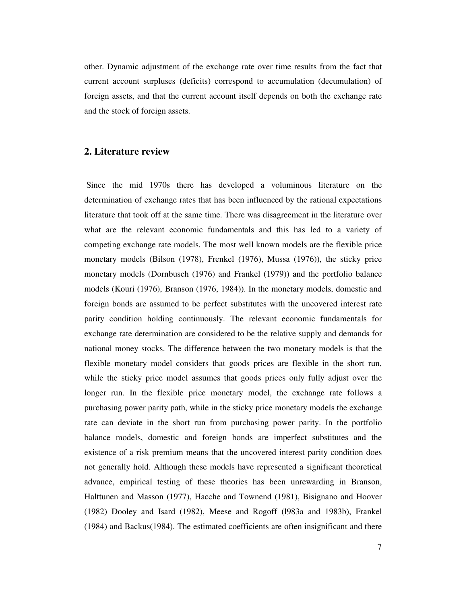other. Dynamic adjustment of the exchange rate over time results from the fact that current account surpluses (deficits) correspond to accumulation (decumulation) of foreign assets, and that the current account itself depends on both the exchange rate and the stock of foreign assets.

### **2. Literature review**

 Since the mid 1970s there has developed a voluminous literature on the determination of exchange rates that has been influenced by the rational expectations literature that took off at the same time. There was disagreement in the literature over what are the relevant economic fundamentals and this has led to a variety of competing exchange rate models. The most well known models are the flexible price monetary models (Bilson (1978), Frenkel (1976), Mussa (1976)), the sticky price monetary models (Dornbusch (1976) and Frankel (1979)) and the portfolio balance models (Kouri (1976), Branson (1976, 1984)). In the monetary models, domestic and foreign bonds are assumed to be perfect substitutes with the uncovered interest rate parity condition holding continuously. The relevant economic fundamentals for exchange rate determination are considered to be the relative supply and demands for national money stocks. The difference between the two monetary models is that the flexible monetary model considers that goods prices are flexible in the short run, while the sticky price model assumes that goods prices only fully adjust over the longer run. In the flexible price monetary model, the exchange rate follows a purchasing power parity path, while in the sticky price monetary models the exchange rate can deviate in the short run from purchasing power parity. In the portfolio balance models, domestic and foreign bonds are imperfect substitutes and the existence of a risk premium means that the uncovered interest parity condition does not generally hold. Although these models have represented a significant theoretical advance, empirical testing of these theories has been unrewarding in Branson, Halttunen and Masson (1977), Hacche and Townend (1981), Bisignano and Hoover (1982) Dooley and Isard (1982), Meese and Rogoff (l983a and 1983b), Frankel (1984) and Backus(1984). The estimated coefficients are often insignificant and there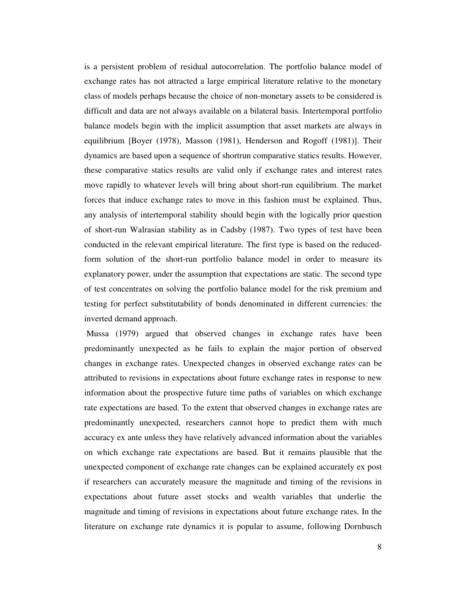is a persistent problem of residual autocorrelation. The portfolio balance model of exchange rates has not attracted a large empirical literature relative to the monetary class of models perhaps because the choice of non-monetary assets to be considered is difficult and data are not always available on a bilateral basis. Intertemporal portfolio balance models begin with the implicit assumption that asset markets are always in equilibrium [Boyer (1978), Masson (1981), Henderson and Rogoff (1981)]. Their dynamics are based upon a sequence of shortrun comparative statics results. However, these comparative statics results are valid only if exchange rates and interest rates move rapidly to whatever levels will bring about short-run equilibrium. The market forces that induce exchange rates to move in this fashion must be explained. Thus, any analysis of intertemporal stability should begin with the logically prior question of short-run Walrasian stability as in Cadsby (1987). Two types of test have been conducted in the relevant empirical literature. The first type is based on the reducedform solution of the short-run portfolio balance model in order to measure its explanatory power, under the assumption that expectations are static. The second type of test concentrates on solving the portfolio balance model for the risk premium and testing for perfect substitutability of bonds denominated in different currencies: the inverted demand approach.

 Mussa (1979) argued that observed changes in exchange rates have been predominantly unexpected as he fails to explain the major portion of observed changes in exchange rates. Unexpected changes in observed exchange rates can be attributed to revisions in expectations about future exchange rates in response to new information about the prospective future time paths of variables on which exchange rate expectations are based. To the extent that observed changes in exchange rates are predominantly unexpected, researchers cannot hope to predict them with much accuracy ex ante unless they have relatively advanced information about the variables on which exchange rate expectations are based. But it remains plausible that the unexpected component of exchange rate changes can be explained accurately ex post if researchers can accurately measure the magnitude and timing of the revisions in expectations about future asset stocks and wealth variables that underlie the magnitude and timing of revisions in expectations about future exchange rates. In the literature on exchange rate dynamics it is popular to assume, following Dornbusch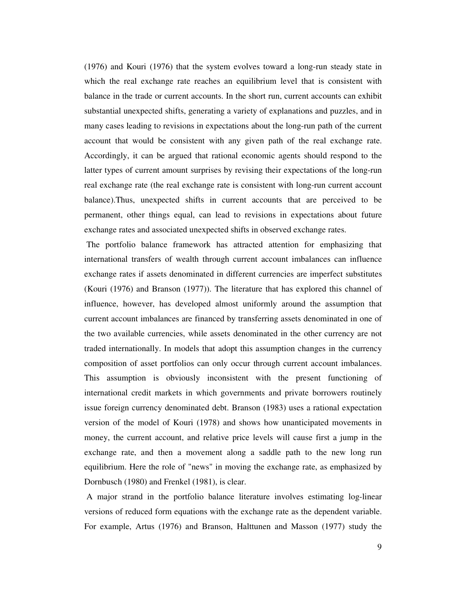(1976) and Kouri (1976) that the system evolves toward a long-run steady state in which the real exchange rate reaches an equilibrium level that is consistent with balance in the trade or current accounts. In the short run, current accounts can exhibit substantial unexpected shifts, generating a variety of explanations and puzzles, and in many cases leading to revisions in expectations about the long-run path of the current account that would be consistent with any given path of the real exchange rate. Accordingly, it can be argued that rational economic agents should respond to the latter types of current amount surprises by revising their expectations of the long-run real exchange rate (the real exchange rate is consistent with long-run current account balance).Thus, unexpected shifts in current accounts that are perceived to be permanent, other things equal, can lead to revisions in expectations about future exchange rates and associated unexpected shifts in observed exchange rates.

 The portfolio balance framework has attracted attention for emphasizing that international transfers of wealth through current account imbalances can influence exchange rates if assets denominated in different currencies are imperfect substitutes (Kouri (1976) and Branson (1977)). The literature that has explored this channel of influence, however, has developed almost uniformly around the assumption that current account imbalances are financed by transferring assets denominated in one of the two available currencies, while assets denominated in the other currency are not traded internationally. In models that adopt this assumption changes in the currency composition of asset portfolios can only occur through current account imbalances. This assumption is obviously inconsistent with the present functioning of international credit markets in which governments and private borrowers routinely issue foreign currency denominated debt. Branson (1983) uses a rational expectation version of the model of Kouri (1978) and shows how unanticipated movements in money, the current account, and relative price levels will cause first a jump in the exchange rate, and then a movement along a saddle path to the new long run equilibrium. Here the role of "news" in moving the exchange rate, as emphasized by Dornbusch (1980) and Frenkel (1981), is clear.

 A major strand in the portfolio balance literature involves estimating log-linear versions of reduced form equations with the exchange rate as the dependent variable. For example, Artus (1976) and Branson, Halttunen and Masson (1977) study the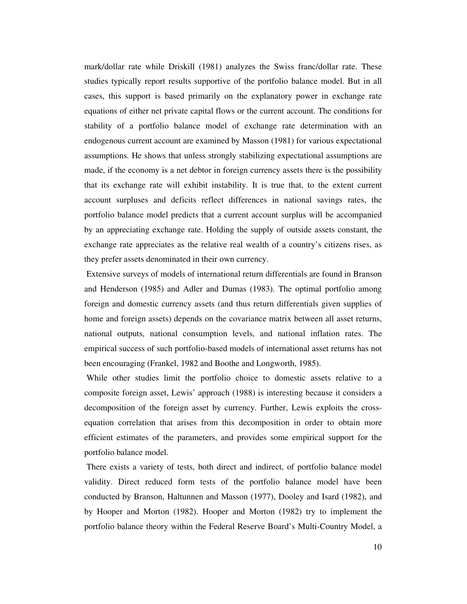mark/dollar rate while Driskill (1981) analyzes the Swiss franc/dollar rate. These studies typically report results supportive of the portfolio balance model. But in all cases, this support is based primarily on the explanatory power in exchange rate equations of either net private capital flows or the current account. The conditions for stability of a portfolio balance model of exchange rate determination with an endogenous current account are examined by Masson (1981) for various expectational assumptions. He shows that unless strongly stabilizing expectational assumptions are made, if the economy is a net debtor in foreign currency assets there is the possibility that its exchange rate will exhibit instability. It is true that, to the extent current account surpluses and deficits reflect differences in national savings rates, the portfolio balance model predicts that a current account surplus will be accompanied by an appreciating exchange rate. Holding the supply of outside assets constant, the exchange rate appreciates as the relative real wealth of a country's citizens rises, as they prefer assets denominated in their own currency.

 Extensive surveys of models of international return differentials are found in Branson and Henderson (1985) and Adler and Dumas (1983). The optimal portfolio among foreign and domestic currency assets (and thus return differentials given supplies of home and foreign assets) depends on the covariance matrix between all asset returns, national outputs, national consumption levels, and national inflation rates. The empirical success of such portfolio-based models of international asset returns has not been encouraging (Frankel, 1982 and Boothe and Longworth, 1985).

 While other studies limit the portfolio choice to domestic assets relative to a composite foreign asset, Lewis' approach (1988) is interesting because it considers a decomposition of the foreign asset by currency. Further, Lewis exploits the crossequation correlation that arises from this decomposition in order to obtain more efficient estimates of the parameters, and provides some empirical support for the portfolio balance model.

 There exists a variety of tests, both direct and indirect, of portfolio balance model validity. Direct reduced form tests of the portfolio balance model have been conducted by Branson, Haltunnen and Masson (1977), Dooley and Isard (1982), and by Hooper and Morton (1982). Hooper and Morton (1982) try to implement the portfolio balance theory within the Federal Reserve Board's Multi-Country Model, a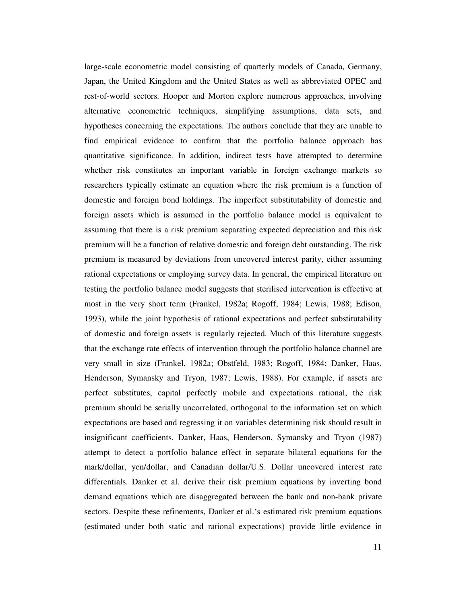large-scale econometric model consisting of quarterly models of Canada, Germany, Japan, the United Kingdom and the United States as well as abbreviated OPEC and rest-of-world sectors. Hooper and Morton explore numerous approaches, involving alternative econometric techniques, simplifying assumptions, data sets, and hypotheses concerning the expectations. The authors conclude that they are unable to find empirical evidence to confirm that the portfolio balance approach has quantitative significance. In addition, indirect tests have attempted to determine whether risk constitutes an important variable in foreign exchange markets so researchers typically estimate an equation where the risk premium is a function of domestic and foreign bond holdings. The imperfect substitutability of domestic and foreign assets which is assumed in the portfolio balance model is equivalent to assuming that there is a risk premium separating expected depreciation and this risk premium will be a function of relative domestic and foreign debt outstanding. The risk premium is measured by deviations from uncovered interest parity, either assuming rational expectations or employing survey data. In general, the empirical literature on testing the portfolio balance model suggests that sterilised intervention is effective at most in the very short term (Frankel, 1982a; Rogoff, 1984; Lewis, 1988; Edison, 1993), while the joint hypothesis of rational expectations and perfect substitutability of domestic and foreign assets is regularly rejected. Much of this literature suggests that the exchange rate effects of intervention through the portfolio balance channel are very small in size (Frankel, 1982a; Obstfeld, 1983; Rogoff, 1984; Danker, Haas, Henderson, Symansky and Tryon, 1987; Lewis, 1988). For example, if assets are perfect substitutes, capital perfectly mobile and expectations rational, the risk premium should be serially uncorrelated, orthogonal to the information set on which expectations are based and regressing it on variables determining risk should result in insignificant coefficients. Danker, Haas, Henderson, Symansky and Tryon (1987) attempt to detect a portfolio balance effect in separate bilateral equations for the mark/dollar, yen/dollar, and Canadian dollar/U.S. Dollar uncovered interest rate differentials. Danker et al. derive their risk premium equations by inverting bond demand equations which are disaggregated between the bank and non-bank private sectors. Despite these refinements, Danker et al.'s estimated risk premium equations (estimated under both static and rational expectations) provide little evidence in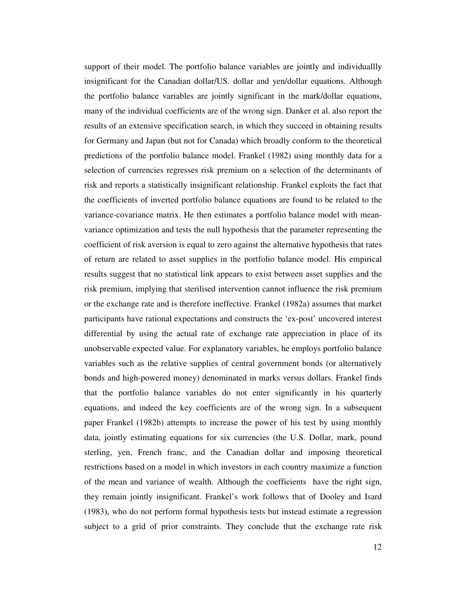support of their model. The portfolio balance variables are jointly and individuallly insignificant for the Canadian dollar/US. dollar and yen/dollar equations. Although the portfolio balance variables are jointly significant in the mark/dollar equations, many of the individual coefficients are of the wrong sign. Danker et al. also report the results of an extensive specification search, in which they succeed in obtaining results for Germany and Japan (but not for Canada) which broadly conform to the theoretical predictions of the portfolio balance model. Frankel (1982) using monthly data for a selection of currencies regresses risk premium on a selection of the determinants of risk and reports a statistically insignificant relationship. Frankel exploits the fact that the coefficients of inverted portfolio balance equations are found to be related to the variance-covariance matrix. He then estimates a portfolio balance model with meanvariance optimization and tests the null hypothesis that the parameter representing the coefficient of risk aversion is equal to zero against the alternative hypothesis that rates of return are related to asset supplies in the portfolio balance model. His empirical results suggest that no statistical link appears to exist between asset supplies and the risk premium, implying that sterilised intervention cannot influence the risk premium or the exchange rate and is therefore ineffective. Frankel (1982a) assumes that market participants have rational expectations and constructs the 'ex-post' uncovered interest differential by using the actual rate of exchange rate appreciation in place of its unobservable expected value. For explanatory variables, he employs portfolio balance variables such as the relative supplies of central government bonds (or alternatively bonds and high-powered money) denominated in marks versus dollars. Frankel finds that the portfolio balance variables do not enter significantly in his quarterly equations, and indeed the key coefficients are of the wrong sign. In a subsequent paper Frankel (1982b) attempts to increase the power of his test by using monthly data, jointly estimating equations for six currencies (the U.S. Dollar, mark, pound sterling, yen, French franc, and the Canadian dollar and imposing theoretical restrictions based on a model in which investors in each country maximize a function of the mean and variance of wealth. Although the coefficients have the right sign, they remain jointly insignificant. Frankel's work follows that of Dooley and Isard (1983), who do not perform formal hypothesis tests but instead estimate a regression subject to a grid of prior constraints. They conclude that the exchange rate risk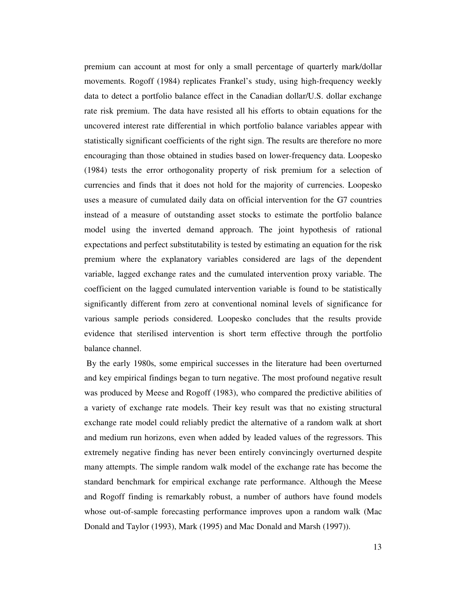premium can account at most for only a small percentage of quarterly mark/dollar movements. Rogoff (1984) replicates Frankel's study, using high-frequency weekly data to detect a portfolio balance effect in the Canadian dollar/U.S. dollar exchange rate risk premium. The data have resisted all his efforts to obtain equations for the uncovered interest rate differential in which portfolio balance variables appear with statistically significant coefficients of the right sign. The results are therefore no more encouraging than those obtained in studies based on lower-frequency data. Loopesko (1984) tests the error orthogonality property of risk premium for a selection of currencies and finds that it does not hold for the majority of currencies. Loopesko uses a measure of cumulated daily data on official intervention for the G7 countries instead of a measure of outstanding asset stocks to estimate the portfolio balance model using the inverted demand approach. The joint hypothesis of rational expectations and perfect substitutability is tested by estimating an equation for the risk premium where the explanatory variables considered are lags of the dependent variable, lagged exchange rates and the cumulated intervention proxy variable. The coefficient on the lagged cumulated intervention variable is found to be statistically significantly different from zero at conventional nominal levels of significance for various sample periods considered. Loopesko concludes that the results provide evidence that sterilised intervention is short term effective through the portfolio balance channel.

 By the early 1980s, some empirical successes in the literature had been overturned and key empirical findings began to turn negative. The most profound negative result was produced by Meese and Rogoff (1983), who compared the predictive abilities of a variety of exchange rate models. Their key result was that no existing structural exchange rate model could reliably predict the alternative of a random walk at short and medium run horizons, even when added by leaded values of the regressors. This extremely negative finding has never been entirely convincingly overturned despite many attempts. The simple random walk model of the exchange rate has become the standard benchmark for empirical exchange rate performance. Although the Meese and Rogoff finding is remarkably robust, a number of authors have found models whose out-of-sample forecasting performance improves upon a random walk (Mac Donald and Taylor (1993), Mark (1995) and Mac Donald and Marsh (1997)).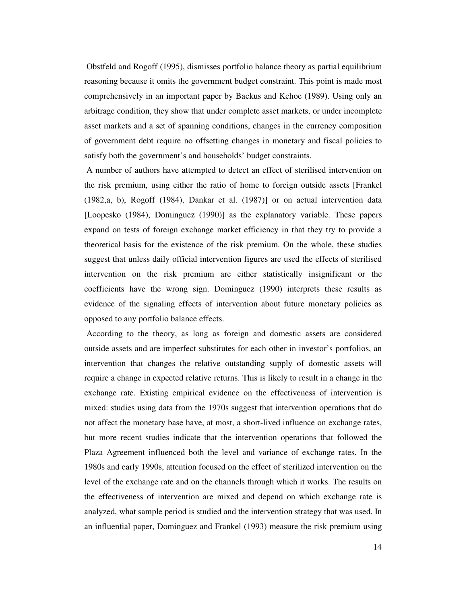Obstfeld and Rogoff (1995), dismisses portfolio balance theory as partial equilibrium reasoning because it omits the government budget constraint. This point is made most comprehensively in an important paper by Backus and Kehoe (1989). Using only an arbitrage condition, they show that under complete asset markets, or under incomplete asset markets and a set of spanning conditions, changes in the currency composition of government debt require no offsetting changes in monetary and fiscal policies to satisfy both the government's and households' budget constraints.

A number of authors have attempted to detect an effect of sterilised intervention on the risk premium, using either the ratio of home to foreign outside assets [Frankel (1982,a, b), Rogoff (1984), Dankar et al. (1987)] or on actual intervention data [Loopesko (1984), Dominguez (1990)] as the explanatory variable. These papers expand on tests of foreign exchange market efficiency in that they try to provide a theoretical basis for the existence of the risk premium. On the whole, these studies suggest that unless daily official intervention figures are used the effects of sterilised intervention on the risk premium are either statistically insignificant or the coefficients have the wrong sign. Dominguez (1990) interprets these results as evidence of the signaling effects of intervention about future monetary policies as opposed to any portfolio balance effects.

 According to the theory, as long as foreign and domestic assets are considered outside assets and are imperfect substitutes for each other in investor's portfolios, an intervention that changes the relative outstanding supply of domestic assets will require a change in expected relative returns. This is likely to result in a change in the exchange rate. Existing empirical evidence on the effectiveness of intervention is mixed: studies using data from the 1970s suggest that intervention operations that do not affect the monetary base have, at most, a short-lived influence on exchange rates, but more recent studies indicate that the intervention operations that followed the Plaza Agreement influenced both the level and variance of exchange rates. In the 1980s and early 1990s, attention focused on the effect of sterilized intervention on the level of the exchange rate and on the channels through which it works. The results on the effectiveness of intervention are mixed and depend on which exchange rate is analyzed, what sample period is studied and the intervention strategy that was used. In an influential paper, Dominguez and Frankel (1993) measure the risk premium using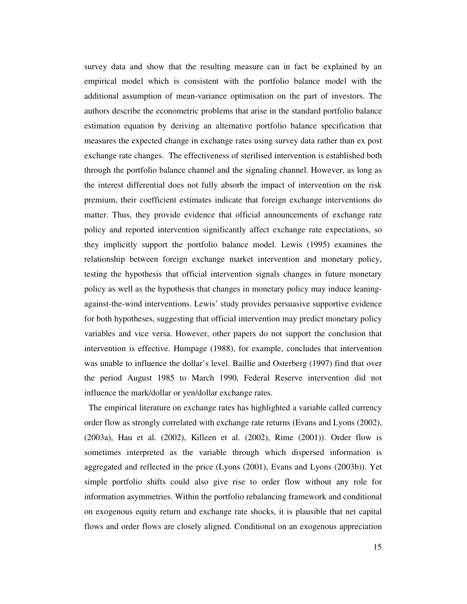survey data and show that the resulting measure can in fact be explained by an empirical model which is consistent with the portfolio balance model with the additional assumption of mean-variance optimisation on the part of investors. The authors describe the econometric problems that arise in the standard portfolio balance estimation equation by deriving an alternative portfolio balance specification that measures the expected change in exchange rates using survey data rather than ex post exchange rate changes. The effectiveness of sterilised intervention is established both through the portfolio balance channel and the signaling channel. However, as long as the interest differential does not fully absorb the impact of intervention on the risk premium, their coefficient estimates indicate that foreign exchange interventions do matter. Thus, they provide evidence that official announcements of exchange rate policy and reported intervention significantly affect exchange rate expectations, so they implicitly support the portfolio balance model. Lewis (1995) examines the relationship between foreign exchange market intervention and monetary policy, testing the hypothesis that official intervention signals changes in future monetary policy as well as the hypothesis that changes in monetary policy may induce leaningagainst-the-wind interventions. Lewis' study provides persuasive supportive evidence for both hypotheses, suggesting that official intervention may predict monetary policy variables and vice versa. However, other papers do not support the conclusion that intervention is effective. Humpage (1988), for example, concludes that intervention was unable to influence the dollar's level. Baillie and Osterberg (1997) find that over the period August 1985 to March 1990, Federal Reserve intervention did not influence the mark/dollar or yen/dollar exchange rates.

The empirical literature on exchange rates has highlighted a variable called currency order flow as strongly correlated with exchange rate returns (Evans and Lyons (2002), (2003a), Hau et al. (2002), Killeen et al. (2002), Rime (2001)). Order flow is sometimes interpreted as the variable through which dispersed information is aggregated and reflected in the price (Lyons (2001), Evans and Lyons (2003b)). Yet simple portfolio shifts could also give rise to order flow without any role for information asymmetries. Within the portfolio rebalancing framework and conditional on exogenous equity return and exchange rate shocks, it is plausible that net capital flows and order flows are closely aligned. Conditional on an exogenous appreciation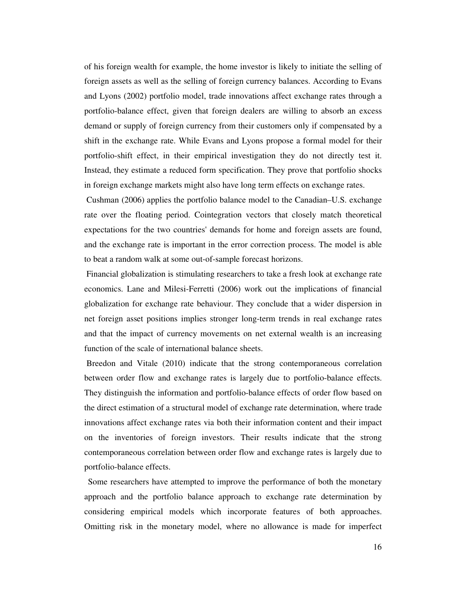of his foreign wealth for example, the home investor is likely to initiate the selling of foreign assets as well as the selling of foreign currency balances. According to Evans and Lyons (2002) portfolio model, trade innovations affect exchange rates through a portfolio-balance effect, given that foreign dealers are willing to absorb an excess demand or supply of foreign currency from their customers only if compensated by a shift in the exchange rate. While Evans and Lyons propose a formal model for their portfolio-shift effect, in their empirical investigation they do not directly test it. Instead, they estimate a reduced form specification. They prove that portfolio shocks in foreign exchange markets might also have long term effects on exchange rates.

 Cushman (2006) applies the portfolio balance model to the Canadian–U.S. exchange rate over the floating period. Cointegration vectors that closely match theoretical expectations for the two countries' demands for home and foreign assets are found, and the exchange rate is important in the error correction process. The model is able to beat a random walk at some out-of-sample forecast horizons.

 Financial globalization is stimulating researchers to take a fresh look at exchange rate economics. Lane and Milesi-Ferretti (2006) work out the implications of financial globalization for exchange rate behaviour. They conclude that a wider dispersion in net foreign asset positions implies stronger long-term trends in real exchange rates and that the impact of currency movements on net external wealth is an increasing function of the scale of international balance sheets.

 Breedon and Vitale (2010) indicate that the strong contemporaneous correlation between order flow and exchange rates is largely due to portfolio-balance effects. They distinguish the information and portfolio-balance effects of order flow based on the direct estimation of a structural model of exchange rate determination, where trade innovations affect exchange rates via both their information content and their impact on the inventories of foreign investors. Their results indicate that the strong contemporaneous correlation between order flow and exchange rates is largely due to portfolio-balance effects.

 Some researchers have attempted to improve the performance of both the monetary approach and the portfolio balance approach to exchange rate determination by considering empirical models which incorporate features of both approaches. Omitting risk in the monetary model, where no allowance is made for imperfect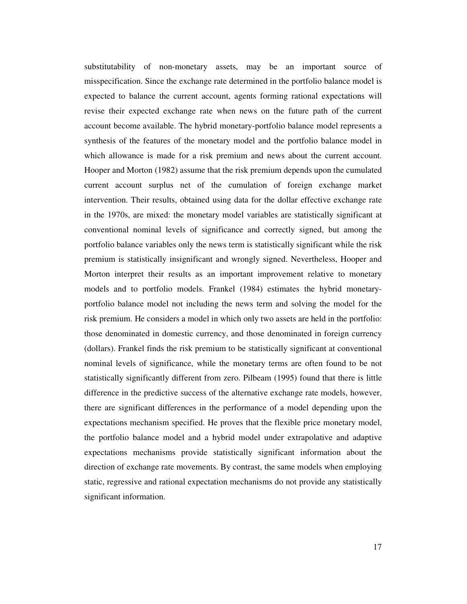substitutability of non-monetary assets, may be an important source of misspecification. Since the exchange rate determined in the portfolio balance model is expected to balance the current account, agents forming rational expectations will revise their expected exchange rate when news on the future path of the current account become available. The hybrid monetary-portfolio balance model represents a synthesis of the features of the monetary model and the portfolio balance model in which allowance is made for a risk premium and news about the current account. Hooper and Morton (1982) assume that the risk premium depends upon the cumulated current account surplus net of the cumulation of foreign exchange market intervention. Their results, obtained using data for the dollar effective exchange rate in the 1970s, are mixed: the monetary model variables are statistically significant at conventional nominal levels of significance and correctly signed, but among the portfolio balance variables only the news term is statistically significant while the risk premium is statistically insignificant and wrongly signed. Nevertheless, Hooper and Morton interpret their results as an important improvement relative to monetary models and to portfolio models. Frankel (1984) estimates the hybrid monetaryportfolio balance model not including the news term and solving the model for the risk premium. He considers a model in which only two assets are held in the portfolio: those denominated in domestic currency, and those denominated in foreign currency (dollars). Frankel finds the risk premium to be statistically significant at conventional nominal levels of significance, while the monetary terms are often found to be not statistically significantly different from zero. Pilbeam (1995) found that there is little difference in the predictive success of the alternative exchange rate models, however, there are significant differences in the performance of a model depending upon the expectations mechanism specified. He proves that the flexible price monetary model, the portfolio balance model and a hybrid model under extrapolative and adaptive expectations mechanisms provide statistically significant information about the direction of exchange rate movements. By contrast, the same models when employing static, regressive and rational expectation mechanisms do not provide any statistically significant information.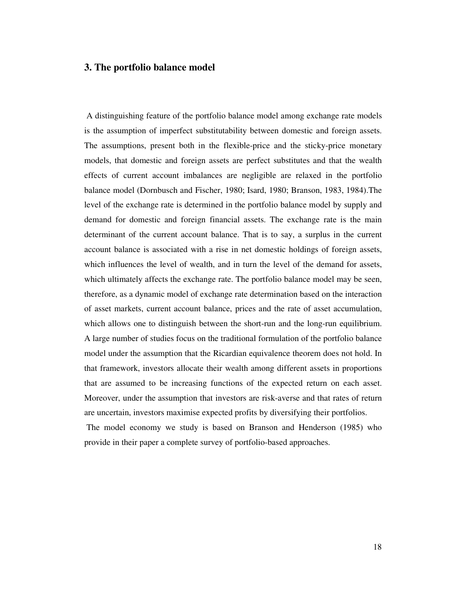#### **3. The portfolio balance model**

 A distinguishing feature of the portfolio balance model among exchange rate models is the assumption of imperfect substitutability between domestic and foreign assets. The assumptions, present both in the flexible-price and the sticky-price monetary models, that domestic and foreign assets are perfect substitutes and that the wealth effects of current account imbalances are negligible are relaxed in the portfolio balance model (Dornbusch and Fischer, 1980; Isard, 1980; Branson, 1983, 1984).The level of the exchange rate is determined in the portfolio balance model by supply and demand for domestic and foreign financial assets. The exchange rate is the main determinant of the current account balance. That is to say, a surplus in the current account balance is associated with a rise in net domestic holdings of foreign assets, which influences the level of wealth, and in turn the level of the demand for assets, which ultimately affects the exchange rate. The portfolio balance model may be seen, therefore, as a dynamic model of exchange rate determination based on the interaction of asset markets, current account balance, prices and the rate of asset accumulation, which allows one to distinguish between the short-run and the long-run equilibrium. A large number of studies focus on the traditional formulation of the portfolio balance model under the assumption that the Ricardian equivalence theorem does not hold. In that framework, investors allocate their wealth among different assets in proportions that are assumed to be increasing functions of the expected return on each asset. Moreover, under the assumption that investors are risk-averse and that rates of return are uncertain, investors maximise expected profits by diversifying their portfolios. The model economy we study is based on Branson and Henderson (1985) who provide in their paper a complete survey of portfolio-based approaches.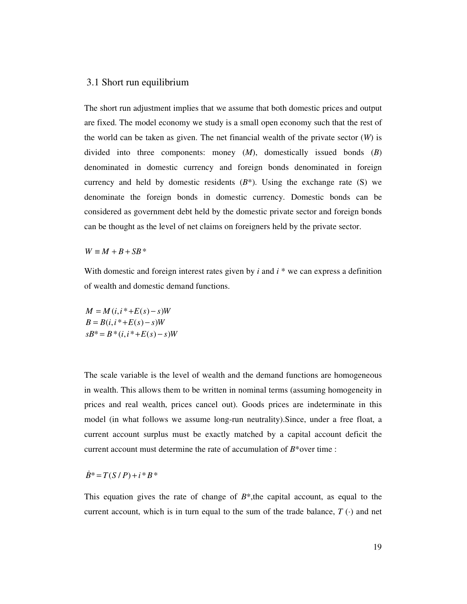#### 3.1 Short run equilibrium

The short run adjustment implies that we assume that both domestic prices and output are fixed. The model economy we study is a small open economy such that the rest of the world can be taken as given. The net financial wealth of the private sector (*W*) is divided into three components: money (*M*), domestically issued bonds (*B*) denominated in domestic currency and foreign bonds denominated in foreign currency and held by domestic residents  $(B^*)$ . Using the exchange rate (S) we denominate the foreign bonds in domestic currency. Domestic bonds can be considered as government debt held by the domestic private sector and foreign bonds can be thought as the level of net claims on foreigners held by the private sector.

 $W \equiv M + B + SB*$ 

With domestic and foreign interest rates given by *i* and *i* \* we can express a definition of wealth and domestic demand functions.

 $M = M(i, i^* + E(s) - s)W$  $B = B(i, i^* + E(s) - s)W$  $sB^* = B^*(i, i^* + E(s) - s)W$ 

The scale variable is the level of wealth and the demand functions are homogeneous in wealth. This allows them to be written in nominal terms (assuming homogeneity in prices and real wealth, prices cancel out). Goods prices are indeterminate in this model (in what follows we assume long-run neutrality).Since, under a free float, a current account surplus must be exactly matched by a capital account deficit the current account must determine the rate of accumulation of *B*\*over time :

$$
\dot{B}^* = T(S/P) + i * B*
$$

This equation gives the rate of change of  $B^*$ , the capital account, as equal to the current account, which is in turn equal to the sum of the trade balance,  $T(\cdot)$  and net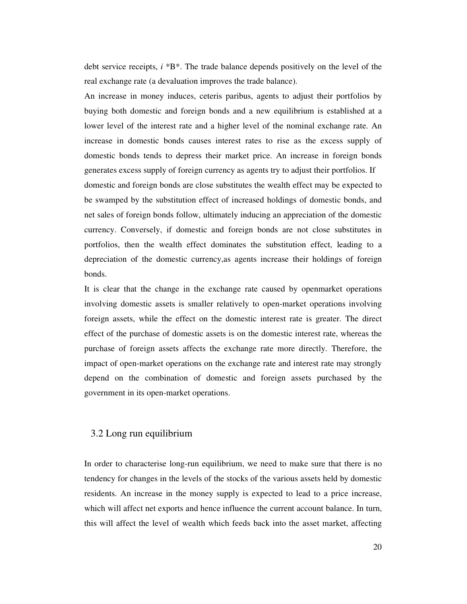debt service receipts, *i* \*B\*. The trade balance depends positively on the level of the real exchange rate (a devaluation improves the trade balance).

An increase in money induces, ceteris paribus, agents to adjust their portfolios by buying both domestic and foreign bonds and a new equilibrium is established at a lower level of the interest rate and a higher level of the nominal exchange rate. An increase in domestic bonds causes interest rates to rise as the excess supply of domestic bonds tends to depress their market price. An increase in foreign bonds generates excess supply of foreign currency as agents try to adjust their portfolios. If domestic and foreign bonds are close substitutes the wealth effect may be expected to be swamped by the substitution effect of increased holdings of domestic bonds, and net sales of foreign bonds follow, ultimately inducing an appreciation of the domestic currency. Conversely, if domestic and foreign bonds are not close substitutes in portfolios, then the wealth effect dominates the substitution effect, leading to a depreciation of the domestic currency,as agents increase their holdings of foreign bonds.

It is clear that the change in the exchange rate caused by openmarket operations involving domestic assets is smaller relatively to open-market operations involving foreign assets, while the effect on the domestic interest rate is greater. The direct effect of the purchase of domestic assets is on the domestic interest rate, whereas the purchase of foreign assets affects the exchange rate more directly. Therefore, the impact of open-market operations on the exchange rate and interest rate may strongly depend on the combination of domestic and foreign assets purchased by the government in its open-market operations.

### 3.2 Long run equilibrium

In order to characterise long-run equilibrium, we need to make sure that there is no tendency for changes in the levels of the stocks of the various assets held by domestic residents. An increase in the money supply is expected to lead to a price increase, which will affect net exports and hence influence the current account balance. In turn, this will affect the level of wealth which feeds back into the asset market, affecting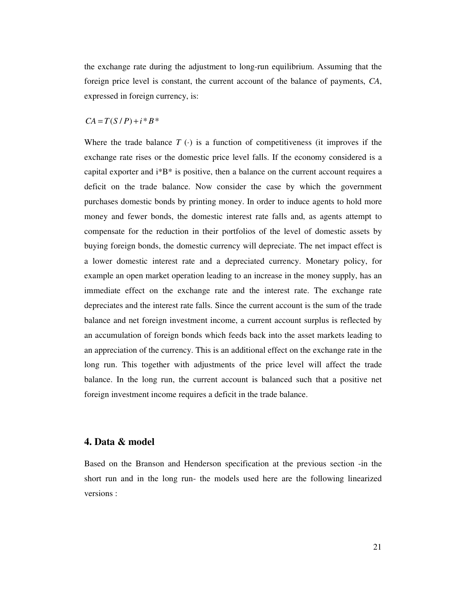the exchange rate during the adjustment to long-run equilibrium. Assuming that the foreign price level is constant, the current account of the balance of payments, *CA*, expressed in foreign currency, is:

#### $CA = T(S/P) + i * B *$

Where the trade balance  $T(\cdot)$  is a function of competitiveness (it improves if the exchange rate rises or the domestic price level falls. If the economy considered is a capital exporter and  $i^*B^*$  is positive, then a balance on the current account requires a deficit on the trade balance. Now consider the case by which the government purchases domestic bonds by printing money. In order to induce agents to hold more money and fewer bonds, the domestic interest rate falls and, as agents attempt to compensate for the reduction in their portfolios of the level of domestic assets by buying foreign bonds, the domestic currency will depreciate. The net impact effect is a lower domestic interest rate and a depreciated currency. Monetary policy, for example an open market operation leading to an increase in the money supply, has an immediate effect on the exchange rate and the interest rate. The exchange rate depreciates and the interest rate falls. Since the current account is the sum of the trade balance and net foreign investment income, a current account surplus is reflected by an accumulation of foreign bonds which feeds back into the asset markets leading to an appreciation of the currency. This is an additional effect on the exchange rate in the long run. This together with adjustments of the price level will affect the trade balance. In the long run, the current account is balanced such that a positive net foreign investment income requires a deficit in the trade balance.

## **4. Data & model**

Based on the Branson and Henderson specification at the previous section -in the short run and in the long run- the models used here are the following linearized versions :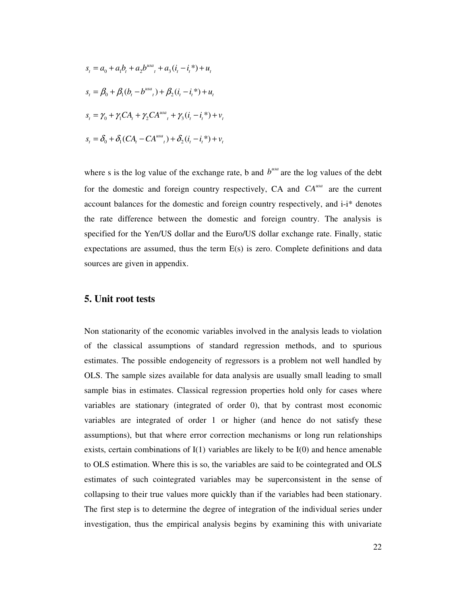$$
s_{t} = a_{0} + a_{1}b_{t} + a_{2}b^{usa}_{t} + a_{3}(i_{t} - i_{t}^{*}) + u_{t}
$$
  
\n
$$
s_{t} = \beta_{0} + \beta_{1}(b_{t} - b^{usa}_{t}) + \beta_{2}(i_{t} - i_{t}^{*}) + u_{t}
$$
  
\n
$$
s_{t} = \gamma_{0} + \gamma_{1}CA_{t} + \gamma_{2}CA^{usa}_{t} + \gamma_{3}(i_{t} - i_{t}^{*}) + v_{t}
$$
  
\n
$$
s_{t} = \delta_{0} + \delta_{1}(CA_{t} - CA^{usa}_{t}) + \delta_{2}(i_{t} - i_{t}^{*}) + v_{t}
$$

where s is the log value of the exchange rate, b and  $b^{usa}$  are the log values of the debt for the domestic and foreign country respectively, CA and  $CA<sup>usa</sup>$  are the current account balances for the domestic and foreign country respectively, and i-i\* denotes the rate difference between the domestic and foreign country. The analysis is specified for the Yen/US dollar and the Euro/US dollar exchange rate. Finally, static expectations are assumed, thus the term E(s) is zero. Complete definitions and data sources are given in appendix.

### **5. Unit root tests**

Non stationarity of the economic variables involved in the analysis leads to violation of the classical assumptions of standard regression methods, and to spurious estimates. The possible endogeneity of regressors is a problem not well handled by OLS. The sample sizes available for data analysis are usually small leading to small sample bias in estimates. Classical regression properties hold only for cases where variables are stationary (integrated of order 0), that by contrast most economic variables are integrated of order 1 or higher (and hence do not satisfy these assumptions), but that where error correction mechanisms or long run relationships exists, certain combinations of  $I(1)$  variables are likely to be  $I(0)$  and hence amenable to OLS estimation. Where this is so, the variables are said to be cointegrated and OLS estimates of such cointegrated variables may be superconsistent in the sense of collapsing to their true values more quickly than if the variables had been stationary. The first step is to determine the degree of integration of the individual series under investigation, thus the empirical analysis begins by examining this with univariate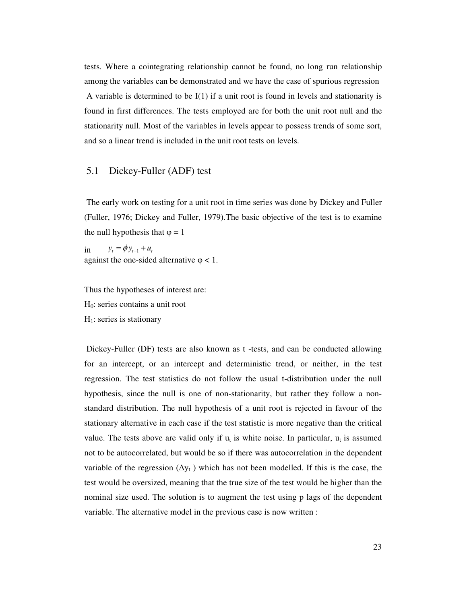tests. Where a cointegrating relationship cannot be found, no long run relationship among the variables can be demonstrated and we have the case of spurious regression A variable is determined to be  $I(1)$  if a unit root is found in levels and stationarity is found in first differences. The tests employed are for both the unit root null and the stationarity null. Most of the variables in levels appear to possess trends of some sort, and so a linear trend is included in the unit root tests on levels.

#### 5.1 Dickey-Fuller (ADF) test

 The early work on testing for a unit root in time series was done by Dickey and Fuller (Fuller, 1976; Dickey and Fuller, 1979).The basic objective of the test is to examine the null hypothesis that  $\varphi = 1$ 

in  $y_t = \phi y_{t-1} + u_t$ against the one-sided alternative  $\varphi$  < 1.

Thus the hypotheses of interest are:  $H<sub>0</sub>$ : series contains a unit root  $H<sub>1</sub>$ : series is stationary

 Dickey-Fuller (DF) tests are also known as t -tests, and can be conducted allowing for an intercept, or an intercept and deterministic trend, or neither, in the test regression. The test statistics do not follow the usual t-distribution under the null hypothesis, since the null is one of non-stationarity, but rather they follow a nonstandard distribution. The null hypothesis of a unit root is rejected in favour of the stationary alternative in each case if the test statistic is more negative than the critical value. The tests above are valid only if  $u_t$  is white noise. In particular,  $u_t$  is assumed not to be autocorrelated, but would be so if there was autocorrelation in the dependent variable of the regression  $(\Delta y_t)$  which has not been modelled. If this is the case, the test would be oversized, meaning that the true size of the test would be higher than the nominal size used. The solution is to augment the test using p lags of the dependent variable. The alternative model in the previous case is now written :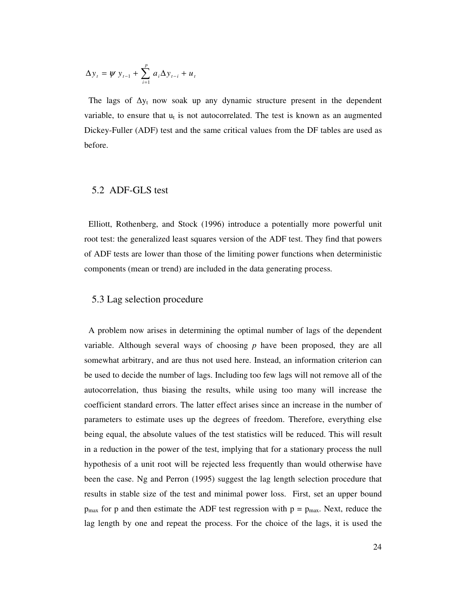$$
\Delta y_{t} = \psi y_{t-1} + \sum_{i=1}^{p} a_{i} \Delta y_{t-i} + u_{t}
$$

The lags of  $\Delta y_t$  now soak up any dynamic structure present in the dependent variable, to ensure that  $u_t$  is not autocorrelated. The test is known as an augmented Dickey-Fuller (ADF) test and the same critical values from the DF tables are used as before.

#### 5.2 ADF-GLS test

 Elliott, Rothenberg, and Stock (1996) introduce a potentially more powerful unit root test: the generalized least squares version of the ADF test. They find that powers of ADF tests are lower than those of the limiting power functions when deterministic components (mean or trend) are included in the data generating process.

#### 5.3 Lag selection procedure

 A problem now arises in determining the optimal number of lags of the dependent variable. Although several ways of choosing *p* have been proposed, they are all somewhat arbitrary, and are thus not used here. Instead, an information criterion can be used to decide the number of lags. Including too few lags will not remove all of the autocorrelation, thus biasing the results, while using too many will increase the coefficient standard errors. The latter effect arises since an increase in the number of parameters to estimate uses up the degrees of freedom. Therefore, everything else being equal, the absolute values of the test statistics will be reduced. This will result in a reduction in the power of the test, implying that for a stationary process the null hypothesis of a unit root will be rejected less frequently than would otherwise have been the case. Ng and Perron (1995) suggest the lag length selection procedure that results in stable size of the test and minimal power loss. First, set an upper bound  $p_{\text{max}}$  for p and then estimate the ADF test regression with  $p = p_{\text{max}}$ . Next, reduce the lag length by one and repeat the process. For the choice of the lags, it is used the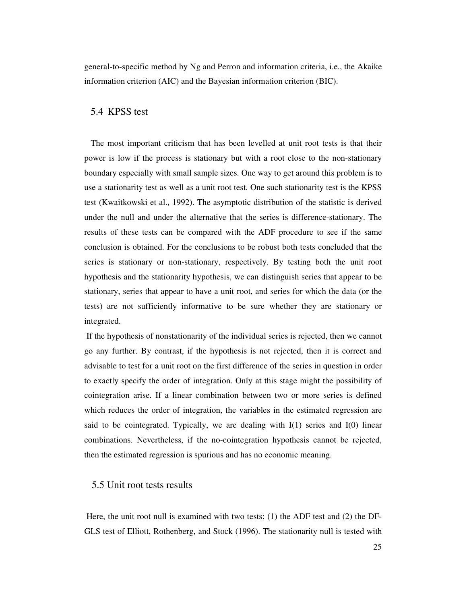general-to-specific method by Ng and Perron and information criteria, i.e., the Akaike information criterion (AIC) and the Bayesian information criterion (BIC).

## 5.4 KPSS test

 The most important criticism that has been levelled at unit root tests is that their power is low if the process is stationary but with a root close to the non-stationary boundary especially with small sample sizes. One way to get around this problem is to use a stationarity test as well as a unit root test. One such stationarity test is the KPSS test (Kwaitkowski et al., 1992). The asymptotic distribution of the statistic is derived under the null and under the alternative that the series is difference-stationary. The results of these tests can be compared with the ADF procedure to see if the same conclusion is obtained. For the conclusions to be robust both tests concluded that the series is stationary or non-stationary, respectively. By testing both the unit root hypothesis and the stationarity hypothesis, we can distinguish series that appear to be stationary, series that appear to have a unit root, and series for which the data (or the tests) are not sufficiently informative to be sure whether they are stationary or integrated.

 If the hypothesis of nonstationarity of the individual series is rejected, then we cannot go any further. By contrast, if the hypothesis is not rejected, then it is correct and advisable to test for a unit root on the first difference of the series in question in order to exactly specify the order of integration. Only at this stage might the possibility of cointegration arise. If a linear combination between two or more series is defined which reduces the order of integration, the variables in the estimated regression are said to be cointegrated. Typically, we are dealing with  $I(1)$  series and  $I(0)$  linear combinations. Nevertheless, if the no-cointegration hypothesis cannot be rejected, then the estimated regression is spurious and has no economic meaning.

#### 5.5 Unit root tests results

 Here, the unit root null is examined with two tests: (1) the ADF test and (2) the DF-GLS test of Elliott, Rothenberg, and Stock (1996). The stationarity null is tested with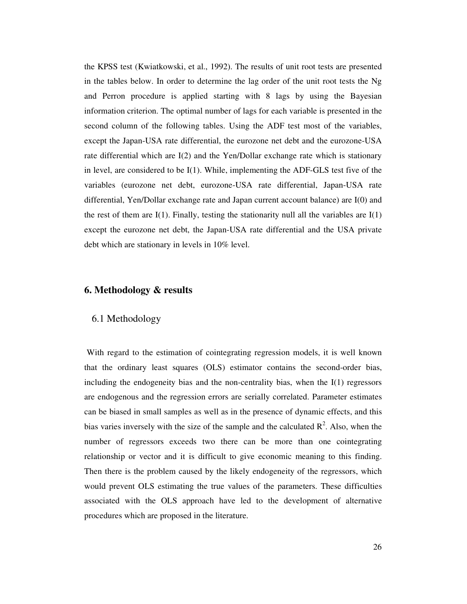the KPSS test (Kwiatkowski, et al., 1992). The results of unit root tests are presented in the tables below. In order to determine the lag order of the unit root tests the Ng and Perron procedure is applied starting with 8 lags by using the Bayesian information criterion. The optimal number of lags for each variable is presented in the second column of the following tables. Using the ADF test most of the variables, except the Japan-USA rate differential, the eurozone net debt and the eurozone-USA rate differential which are I(2) and the Yen/Dollar exchange rate which is stationary in level, are considered to be I(1). While, implementing the ADF-GLS test five of the variables (eurozone net debt, eurozone-USA rate differential, Japan-USA rate differential, Yen/Dollar exchange rate and Japan current account balance) are I(0) and the rest of them are  $I(1)$ . Finally, testing the stationarity null all the variables are  $I(1)$ except the eurozone net debt, the Japan-USA rate differential and the USA private debt which are stationary in levels in 10% level.

#### **6. Methodology & results**

#### 6.1 Methodology

With regard to the estimation of cointegrating regression models, it is well known that the ordinary least squares (OLS) estimator contains the second-order bias, including the endogeneity bias and the non-centrality bias, when the I(1) regressors are endogenous and the regression errors are serially correlated. Parameter estimates can be biased in small samples as well as in the presence of dynamic effects, and this bias varies inversely with the size of the sample and the calculated  $\mathbb{R}^2$ . Also, when the number of regressors exceeds two there can be more than one cointegrating relationship or vector and it is difficult to give economic meaning to this finding. Then there is the problem caused by the likely endogeneity of the regressors, which would prevent OLS estimating the true values of the parameters. These difficulties associated with the OLS approach have led to the development of alternative procedures which are proposed in the literature.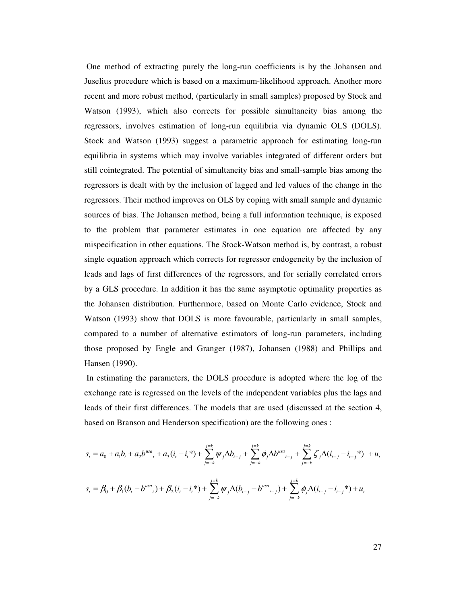One method of extracting purely the long-run coefficients is by the Johansen and Juselius procedure which is based on a maximum-likelihood approach. Another more recent and more robust method, (particularly in small samples) proposed by Stock and Watson (1993), which also corrects for possible simultaneity bias among the regressors, involves estimation of long-run equilibria via dynamic OLS (DOLS). Stock and Watson (1993) suggest a parametric approach for estimating long-run equilibria in systems which may involve variables integrated of different orders but still cointegrated. The potential of simultaneity bias and small-sample bias among the regressors is dealt with by the inclusion of lagged and led values of the change in the regressors. Their method improves on OLS by coping with small sample and dynamic sources of bias. The Johansen method, being a full information technique, is exposed to the problem that parameter estimates in one equation are affected by any mispecification in other equations. The Stock-Watson method is, by contrast, a robust single equation approach which corrects for regressor endogeneity by the inclusion of leads and lags of first differences of the regressors, and for serially correlated errors by a GLS procedure. In addition it has the same asymptotic optimality properties as the Johansen distribution. Furthermore, based on Monte Carlo evidence, Stock and Watson (1993) show that DOLS is more favourable, particularly in small samples, compared to a number of alternative estimators of long-run parameters, including those proposed by Engle and Granger (1987), Johansen (1988) and Phillips and Hansen (1990).

 In estimating the parameters, the DOLS procedure is adopted where the log of the exchange rate is regressed on the levels of the independent variables plus the lags and leads of their first differences. The models that are used (discussed at the section 4, based on Branson and Henderson specification) are the following ones :

$$
s_{t} = a_{0} + a_{1}b_{t} + a_{2}b^{ws_{t}} + a_{3}(i_{t} - i_{t}^{*}) + \sum_{j=-k}^{j=k} \psi_{j} \Delta b_{t-j} + \sum_{j=-k}^{j=k} \phi_{j} \Delta b^{ws_{t}} - j + \sum_{j=-k}^{j=k} \zeta_{j} \Delta(i_{t-j} - i_{t-j}^{*}) + u_{t}
$$
  

$$
s_{t} = \beta_{0} + \beta_{1}(b_{t} - b^{ws_{t}}) + \beta_{2}(i_{t} - i_{t}^{*}) + \sum_{j=-k}^{j=k} \psi_{j} \Delta(b_{t-j} - b^{ws_{t}} - j) + \sum_{j=-k}^{j=k} \phi_{j} \Delta(i_{t-j} - i_{t-j}^{*}) + u_{t}
$$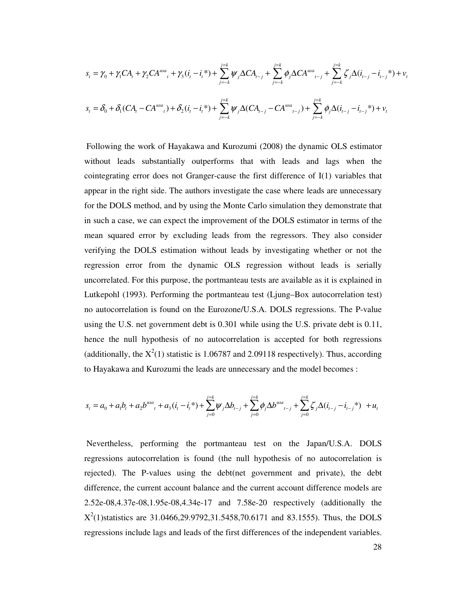$$
s_{t} = \gamma_{0} + \gamma_{1}CA_{t} + \gamma_{2}CA^{usa}_{t} + \gamma_{3}(i_{t} - i_{t}^{*}) + \sum_{j=-k}^{j=k} \psi_{j}\Delta CA_{t-j} + \sum_{j=-k}^{j=k} \phi_{j}\Delta CA^{usa}_{t-j} + \sum_{j=-k}^{j=k} \zeta_{j}\Delta(i_{t-j} - i_{t-j}^{*}) + v_{t}
$$
  

$$
s_{t} = \delta_{0} + \delta_{1}(CA_{t} - CA^{usa}_{t}) + \delta_{2}(i_{t} - i_{t}^{*}) + \sum_{j=-k}^{j=k} \psi_{j}\Delta(CA_{t-j} - CA^{usa}_{t-j}) + \sum_{j=-k}^{j=k} \phi_{j}\Delta(i_{t-j} - i_{t-j}^{*}) + v_{t}
$$

 Following the work of Hayakawa and Kurozumi (2008) the dynamic OLS estimator without leads substantially outperforms that with leads and lags when the cointegrating error does not Granger-cause the first difference of I(1) variables that appear in the right side. The authors investigate the case where leads are unnecessary for the DOLS method, and by using the Monte Carlo simulation they demonstrate that in such a case, we can expect the improvement of the DOLS estimator in terms of the mean squared error by excluding leads from the regressors. They also consider verifying the DOLS estimation without leads by investigating whether or not the regression error from the dynamic OLS regression without leads is serially uncorrelated. For this purpose, the portmanteau tests are available as it is explained in Lutkepohl (1993). Performing the portmanteau test (Ljung–Box autocorrelation test) no autocorrelation is found on the Eurozone/U.S.A. DOLS regressions. The P-value using the U.S. net government debt is 0.301 while using the U.S. private debt is 0.11, hence the null hypothesis of no autocorrelation is accepted for both regressions (additionally, the  $X^2(1)$  statistic is 1.06787 and 2.09118 respectively). Thus, according to Hayakawa and Kurozumi the leads are unnecessary and the model becomes :

$$
s_{t} = a_{0} + a_{1}b_{t} + a_{2}b^{usa}_{t} + a_{3}(i_{t} - i_{t}^{*}) + \sum_{j=0}^{j=k} \psi_{j} \Delta b_{t-j} + \sum_{j=0}^{j=k} \phi_{j} \Delta b^{usa}_{t-j} + \sum_{j=0}^{j=k} \zeta_{j} \Delta (i_{t-j} - i_{t-j}^{*}) + u_{t}
$$

 Nevertheless, performing the portmanteau test on the Japan/U.S.A. DOLS regressions autocorrelation is found (the null hypothesis of no autocorrelation is rejected). The P-values using the debt(net government and private), the debt difference, the current account balance and the current account difference models are 2.52e-08,4.37e-08,1.95e-08,4.34e-17 and 7.58e-20 respectively (additionally the  $X^2(1)$ statistics are 31.0466,29.9792,31.5458,70.6171 and 83.1555). Thus, the DOLS regressions include lags and leads of the first differences of the independent variables.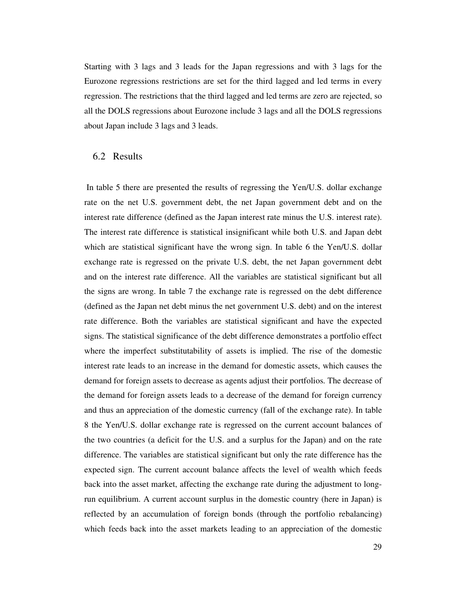Starting with 3 lags and 3 leads for the Japan regressions and with 3 lags for the Eurozone regressions restrictions are set for the third lagged and led terms in every regression. The restrictions that the third lagged and led terms are zero are rejected, so all the DOLS regressions about Eurozone include 3 lags and all the DOLS regressions about Japan include 3 lags and 3 leads.

### 6.2 Results

 In table 5 there are presented the results of regressing the Yen/U.S. dollar exchange rate on the net U.S. government debt, the net Japan government debt and on the interest rate difference (defined as the Japan interest rate minus the U.S. interest rate). The interest rate difference is statistical insignificant while both U.S. and Japan debt which are statistical significant have the wrong sign. In table 6 the Yen/U.S. dollar exchange rate is regressed on the private U.S. debt, the net Japan government debt and on the interest rate difference. All the variables are statistical significant but all the signs are wrong. In table 7 the exchange rate is regressed on the debt difference (defined as the Japan net debt minus the net government U.S. debt) and on the interest rate difference. Both the variables are statistical significant and have the expected signs. The statistical significance of the debt difference demonstrates a portfolio effect where the imperfect substitutability of assets is implied. The rise of the domestic interest rate leads to an increase in the demand for domestic assets, which causes the demand for foreign assets to decrease as agents adjust their portfolios. The decrease of the demand for foreign assets leads to a decrease of the demand for foreign currency and thus an appreciation of the domestic currency (fall of the exchange rate). In table 8 the Yen/U.S. dollar exchange rate is regressed on the current account balances of the two countries (a deficit for the U.S. and a surplus for the Japan) and on the rate difference. The variables are statistical significant but only the rate difference has the expected sign. The current account balance affects the level of wealth which feeds back into the asset market, affecting the exchange rate during the adjustment to longrun equilibrium. A current account surplus in the domestic country (here in Japan) is reflected by an accumulation of foreign bonds (through the portfolio rebalancing) which feeds back into the asset markets leading to an appreciation of the domestic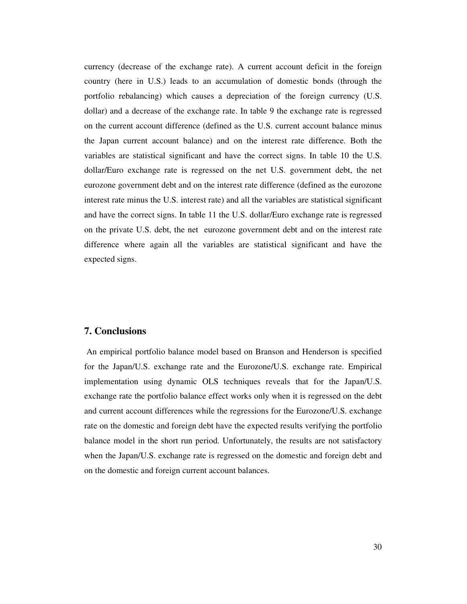currency (decrease of the exchange rate). A current account deficit in the foreign country (here in U.S.) leads to an accumulation of domestic bonds (through the portfolio rebalancing) which causes a depreciation of the foreign currency (U.S. dollar) and a decrease of the exchange rate. In table 9 the exchange rate is regressed on the current account difference (defined as the U.S. current account balance minus the Japan current account balance) and on the interest rate difference. Both the variables are statistical significant and have the correct signs. In table 10 the U.S. dollar/Euro exchange rate is regressed on the net U.S. government debt, the net eurozone government debt and on the interest rate difference (defined as the eurozone interest rate minus the U.S. interest rate) and all the variables are statistical significant and have the correct signs. In table 11 the U.S. dollar/Euro exchange rate is regressed on the private U.S. debt, the net eurozone government debt and on the interest rate difference where again all the variables are statistical significant and have the expected signs.

#### **7. Conclusions**

 An empirical portfolio balance model based on Branson and Henderson is specified for the Japan/U.S. exchange rate and the Eurozone/U.S. exchange rate. Empirical implementation using dynamic OLS techniques reveals that for the Japan/U.S. exchange rate the portfolio balance effect works only when it is regressed on the debt and current account differences while the regressions for the Eurozone/U.S. exchange rate on the domestic and foreign debt have the expected results verifying the portfolio balance model in the short run period. Unfortunately, the results are not satisfactory when the Japan/U.S. exchange rate is regressed on the domestic and foreign debt and on the domestic and foreign current account balances.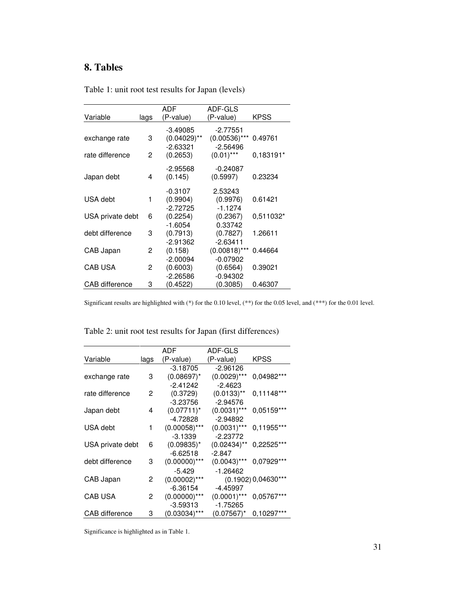## **8. Tables**

|                  |      | ADF                       | ADF-GLS         |             |
|------------------|------|---------------------------|-----------------|-------------|
| Variable         | lags | (P-value)                 | (P-value)       | <b>KPSS</b> |
|                  |      | $-3.49085$                | $-2.77551$      |             |
| exchange rate    | 3    | $(0.04029)$ <sup>**</sup> | $(0.00536)$ *** | 0.49761     |
|                  |      | $-2.63321$                | $-2.56496$      |             |
| rate difference  | 2    | (0.2653)                  | $(0.01)$ ***    | 0,183191*   |
|                  |      | $-2.95568$                | $-0.24087$      |             |
| Japan debt       | 4    | (0.145)                   | (0.5997)        | 0.23234     |
|                  |      | $-0.3107$                 | 2.53243         |             |
| USA debt         | 1    | (0.9904)                  | (0.9976)        | 0.61421     |
|                  |      | $-2.72725$                | $-1.1274$       |             |
| USA private debt | 6    | (0.2254)                  | (0.2367)        | 0.511032*   |
|                  |      | $-1.6054$                 | 0.33742         |             |
| debt difference  | 3    | (0.7913)                  | (0.7827)        | 1.26611     |
|                  |      | $-2.91362$                | $-2.63411$      |             |
| CAB Japan        | 2    | (0.158)                   | $(0.00818)$ *** | 0.44664     |
|                  |      | $-2.00094$                | $-0.07902$      |             |
| CAB USA          | 2    | (0.6003)                  | (0.6564)        | 0.39021     |
|                  |      | $-2.26586$                | $-0.94302$      |             |
| CAB difference   | 3    | (0.4522)                  | (0.3085)        | 0.46307     |

Table 1: unit root test results for Japan (levels)

Significant results are highlighted with (\*) for the 0.10 level, (\*\*) for the 0.05 level, and (\*\*\*) for the 0.01 level.

Table 2: unit root test results for Japan (first differences)

|                  |      | ADF.            | ADF-GLS        |                       |
|------------------|------|-----------------|----------------|-----------------------|
| Variable         | lags | (P-value)       | (P-value)      | <b>KPSS</b>           |
|                  |      | $-3.18705$      | $-2.96126$     |                       |
| exchange rate    | 3    | $(0.08697)^*$   | $(0.0029)$ *** | 0,04982***            |
|                  |      | $-2.41242$      | $-2.4623$      |                       |
| rate difference  | 2    | (0.3729)        | $(0.0133)$ **  | $0.11148***$          |
|                  |      | $-3.23756$      | $-2.94576$     |                       |
| Japan debt       | 4    | $(0.07711)^*$   | $(0.0031)$ *** | 0,05159***            |
|                  |      | $-4.72828$      | $-2.94892$     |                       |
| USA debt         | 1    | $(0.00058)$ *** | $(0.0031)$ *** | 0,11955***            |
|                  |      | $-3.1339$       | $-2.23772$     |                       |
| USA private debt | 6    | $(0.09835)^*$   | $(0.02434)$ ** | 0,22525***            |
|                  |      | $-6.62518$      | $-2.847$       |                       |
| debt difference  | 3    | $(0.00000)$ *** | $(0.0043)$ *** | 0,07929 ***           |
|                  |      | $-5.429$        | $-1.26462$     |                       |
| CAB Japan        | 2    | $(0.00002)$ *** |                | $(0.1902)$ 0,04630*** |
|                  |      | -6.36154        | -4.45997       |                       |
| CAB USA          | 2    | $(0.00000)$ *** | $(0.0001)$ *** | 0,05767***            |
|                  |      | $-3.59313$      | $-1.75265$     |                       |
| CAB difference   | 3    | $(0.03034)$ *** | $(0.07567)^*$  | 0,10297***            |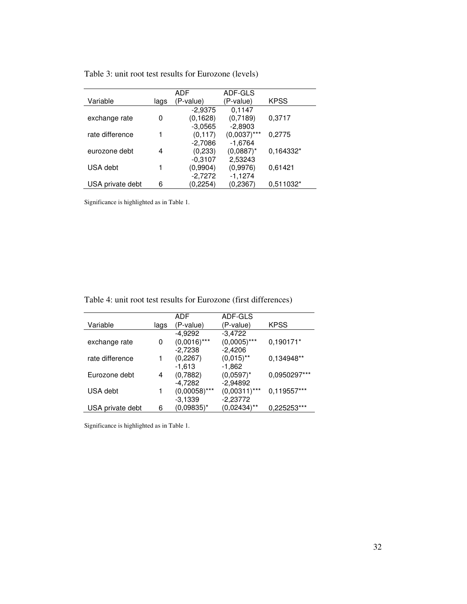|  |  |  | Table 3: unit root test results for Eurozone (levels) |  |
|--|--|--|-------------------------------------------------------|--|
|--|--|--|-------------------------------------------------------|--|

|                  |      | ADF       | ADF-GLS        |             |
|------------------|------|-----------|----------------|-------------|
| Variable         | lags | (P-value) | (P-value)      | <b>KPSS</b> |
|                  |      | $-2,9375$ | 0,1147         |             |
| exchange rate    | 0    | (0, 1628) | (0,7189)       | 0,3717      |
|                  |      | $-3.0565$ | $-2,8903$      |             |
| rate difference  |      | (0, 117)  | $(0,0037)$ *** | 0,2775      |
|                  |      | $-2,7086$ | $-1,6764$      |             |
| eurozone debt    | 4    | (0,233)   | $(0.0887)^*$   | 0,164332*   |
|                  |      | $-0.3107$ | 2,53243        |             |
| USA debt         |      | (0,9904)  | (0.9976)       | 0,61421     |
|                  |      | $-2,7272$ | $-1,1274$      |             |
| USA private debt | 6    | (0, 2254) | (0, 2367)      | 0.511032*   |

Significance is highlighted as in Table 1.

Table 4: unit root test results for Eurozone (first differences)

|                  |      | ADF             | ADF-GLS                 |              |
|------------------|------|-----------------|-------------------------|--------------|
| Variable         | lags | (P-value)       | (P-value)               | <b>KPSS</b>  |
|                  |      | $-4,9292$       | $-3,4722$               |              |
| exchange rate    | 0    | $(0,0016)$ ***  | $(0,0005)$ ***          | 0,190171*    |
|                  |      | $-2,7238$       | $-2,4206$               |              |
| rate difference  | 1    | (0,2267)        | $(0,015)$ <sup>**</sup> | 0,134948**   |
|                  |      | $-1,613$        | $-1,862$                |              |
| Eurozone debt    | 4    | (0,7882)        | $(0,0597)^*$            | 0,0950297*** |
|                  |      | $-4,7282$       | $-2,94892$              |              |
| USA debt         | 1    | $(0,00058)$ *** | $(0,00311)$ ***         | 0,119557***  |
|                  |      | $-3.1339$       | $-2,23772$              |              |
| USA private debt | 6    | (0.09835)*      | $(0,02434)$ **          | 0,225253***  |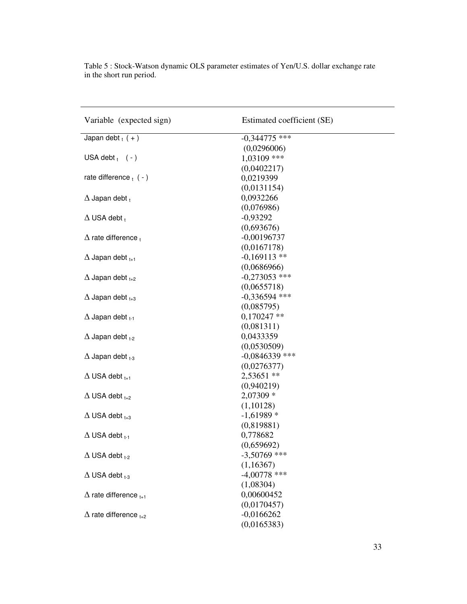| Variable (expected sign)          | Estimated coefficient (SE) |
|-----------------------------------|----------------------------|
| Japan debt $_{t}$ (+)             | $-0,344775$ ***            |
|                                   | (0,0296006)                |
| USA debt $(-)$                    | 1,03109 ***                |
|                                   | (0,0402217)                |
| rate difference $t$ ( - )         | 0,0219399                  |
|                                   | (0,0131154)                |
| $\Delta$ Japan debt $_t$          | 0,0932266                  |
|                                   | (0,076986)                 |
| $\Delta$ USA debt $_t$            | $-0,93292$                 |
|                                   | (0,693676)                 |
| $\Delta$ rate difference $_t$     | $-0,00196737$              |
|                                   | (0,0167178)                |
| $\Delta$ Japan debt $_{t+1}$      | $-0,169113$ **             |
|                                   | (0,0686966)                |
| $\Delta$ Japan debt $_{t+2}$      | $-0,273053$ ***            |
|                                   | (0,0655718)                |
| $\Delta$ Japan debt $_{t+3}$      | $-0,336594$ ***            |
|                                   | (0,085795)                 |
| $\Delta$ Japan debt $_{t-1}$      | $0,170247$ **              |
|                                   | (0,081311)                 |
| $\Delta$ Japan debt $_{t-2}$      | 0,0433359                  |
|                                   | (0,0530509)                |
| $\Delta$ Japan debt $_{t=3}$      | $-0,0846339$ ***           |
|                                   | (0,0276377)                |
| $\Delta$ USA debt $_{t+1}$        | 2,53651 **                 |
|                                   | (0,940219)                 |
| $\Delta$ USA debt $_{t+2}$        | 2,07309 *                  |
|                                   | (1,10128)                  |
| $\Delta$ USA debt $_{t+3}$        | $-1,61989*$                |
|                                   | (0,819881)                 |
| $\Delta$ USA debt $_{t-1}$        | 0,778682                   |
|                                   | (0,659692)                 |
| $\Delta$ USA debt $_{t-2}$        | $-3,50769$ ***             |
|                                   | (1,16367)                  |
| $\Delta$ USA debt $_{t-3}$        | $-4,00778$ ***             |
|                                   | (1,08304)                  |
| $\Delta$ rate difference $_{t+1}$ | 0,00600452                 |
|                                   | (0,0170457)                |
| $\Delta$ rate difference $_{t+2}$ | $-0,0166262$               |
|                                   | (0,0165383)                |

Table 5 : Stock-Watson dynamic OLS parameter estimates of Yen/U.S. dollar exchange rate in the short run period.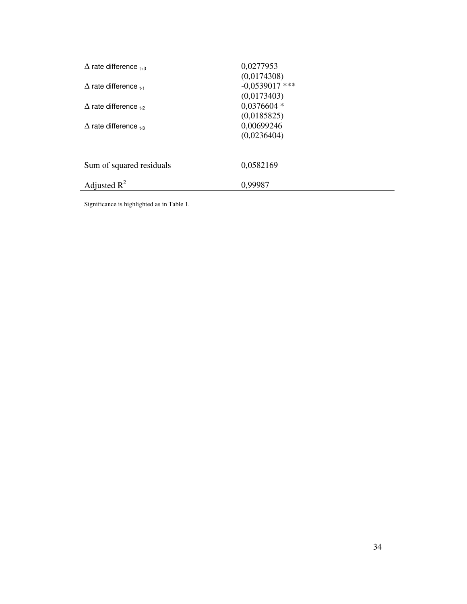| $\Delta$ rate difference $_{1+3}$ | 0,0277953<br>(0,0174308)                 |
|-----------------------------------|------------------------------------------|
| $\Delta$ rate difference $_{1.1}$ | $-0.0539017$ ***<br>(0,0173403)          |
| $\Delta$ rate difference $_{1.2}$ | $0,0376604*$                             |
| $\Delta$ rate difference $_{1,3}$ | (0,0185825)<br>0,00699246<br>(0,0236404) |
| Sum of squared residuals          | 0,0582169                                |
| Adjusted $R^2$                    | 0,99987                                  |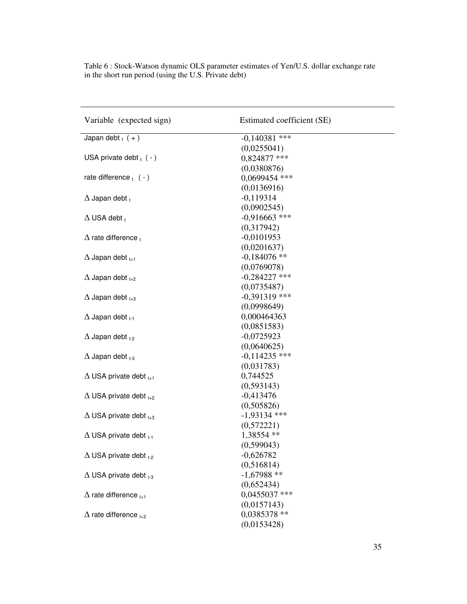| Variable (expected sign)           | Estimated coefficient (SE) |
|------------------------------------|----------------------------|
| Japan debt $_{t}$ (+)              | $-0.140381$ ***            |
|                                    | (0,0255041)                |
| USA private debt $_{t}$ ( - )      | 0,824877 ***               |
|                                    | (0,0380876)                |
| rate difference $_1$ ( - )         | 0,0699454 ***              |
|                                    | (0,0136916)                |
| $\Delta$ Japan debt $_t$           | $-0,119314$                |
|                                    | (0,0902545)                |
| $\Delta$ USA debt $_t$             | $-0,916663$ ***            |
|                                    | (0,317942)                 |
| $\Delta$ rate difference $_t$      | $-0,0101953$               |
|                                    | (0,0201637)                |
| $\Delta$ Japan debt $_{t+1}$       | $-0,184076$ **             |
|                                    | (0,0769078)                |
| $\Delta$ Japan debt $_{t+2}$       | $-0,284227$ ***            |
|                                    | (0,0735487)                |
| $\Delta$ Japan debt $_{t+3}$       | $-0,391319$ ***            |
|                                    | (0,0998649)                |
| $\Delta$ Japan debt $_{t-1}$       | 0,000464363                |
|                                    | (0,0851583)                |
| $\Delta$ Japan debt $_{t=2}$       | $-0,0725923$               |
|                                    | (0,0640625)                |
| $\Delta$ Japan debt $_{t=3}$       | $-0,114235$ ***            |
|                                    | (0,031783)                 |
| $\Delta$ USA private debt $_{t+1}$ | 0,744525                   |
|                                    | (0,593143)                 |
| $\Delta$ USA private debt $_{t+2}$ | $-0,413476$                |
|                                    | (0,505826)                 |
| $\Delta$ USA private debt $_{t+3}$ | $-1,93134$ ***             |
|                                    | (0,572221)                 |
| $\Delta$ USA private debt $_{t-1}$ | 1,38554 **                 |
|                                    | (0,599043)                 |
| $\Delta$ USA private debt $_{t-2}$ | $-0,626782$                |
|                                    | (0,516814)                 |
| $\Delta$ USA private debt $_{t=3}$ | $-1,67988$ **              |
|                                    | (0,652434)                 |
| $\Delta$ rate difference $_{t+1}$  | $0,0455037$ ***            |
|                                    | (0,0157143)                |
| $\Delta$ rate difference $_{t+2}$  | 0,0385378 **               |
|                                    | (0,0153428)                |

Table 6 : Stock-Watson dynamic OLS parameter estimates of Yen/U.S. dollar exchange rate in the short run period (using the U.S. Private debt)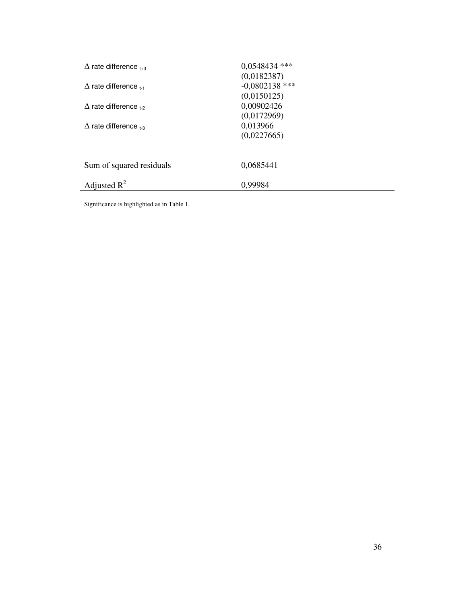| $\Delta$ rate difference $_{1.3}$ | $0.0548434$ ***<br>(0,0182387)  |
|-----------------------------------|---------------------------------|
| $\Delta$ rate difference $_{1.1}$ | $-0,0802138$ ***<br>(0,0150125) |
| $\Delta$ rate difference $_{1.2}$ | 0,00902426<br>(0,0172969)       |
| $\Delta$ rate difference $_{1-3}$ | 0,013966<br>(0,0227665)         |
| Sum of squared residuals          | 0,0685441                       |
| Adjusted $R^2$                    | 0,99984                         |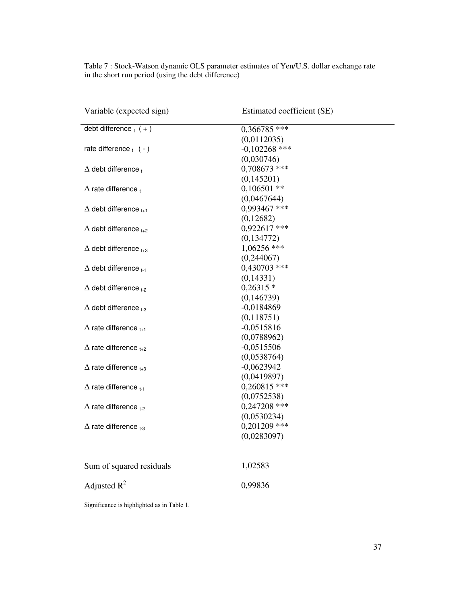| Variable (expected sign)          | Estimated coefficient (SE) |
|-----------------------------------|----------------------------|
| debt difference $_{t}$ (+)        | 0,366785 ***               |
|                                   | (0,0112035)                |
| rate difference $_{t}$ ( - )      | $-0,102268$ ***            |
|                                   | (0,030746)                 |
| $\Delta$ debt difference $_t$     | 0,708673 ***               |
|                                   | (0,145201)                 |
| $\Delta$ rate difference,         | $0,106501$ **              |
|                                   | (0,0467644)                |
| $\Delta$ debt difference $_{t+1}$ | 0,993467 ***               |
|                                   | (0,12682)                  |
| $\Delta$ debt difference $_{t+2}$ | $0,922617$ ***             |
|                                   | (0,134772)                 |
| $\Delta$ debt difference $_{t+3}$ | $1,06256$ ***              |
|                                   | (0,244067)                 |
| $\Delta$ debt difference $_{t-1}$ | $0,430703$ ***             |
|                                   | (0,14331)                  |
| $\Delta$ debt difference $_{1.2}$ | $0,26315*$                 |
|                                   | (0,146739)                 |
| $\Delta$ debt difference $_{1-3}$ | $-0,0184869$               |
|                                   | (0,118751)                 |
| $\Delta$ rate difference $_{t+1}$ | $-0,0515816$               |
|                                   | (0,0788962)                |
| $\Delta$ rate difference $_{t+2}$ | $-0,0515506$               |
|                                   | (0,0538764)                |
| $\Delta$ rate difference $_{t+3}$ | $-0,0623942$               |
|                                   | (0,0419897)                |
| $\Delta$ rate difference $_{t-1}$ | $0,260815$ ***             |
|                                   | (0,0752538)                |
| $\Delta$ rate difference $_{t-2}$ | $0,247208$ ***             |
|                                   | (0,0530234)                |
| $\Delta$ rate difference $_{t=3}$ | $0,201209$ ***             |
|                                   | (0,0283097)                |
|                                   |                            |
| Sum of squared residuals          | 1,02583                    |
| Adjusted $R^2$                    | 0,99836                    |

Table 7 : Stock-Watson dynamic OLS parameter estimates of Yen/U.S. dollar exchange rate in the short run period (using the debt difference)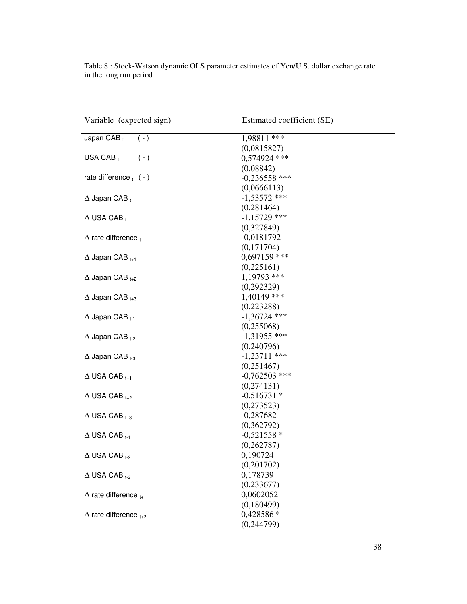| Variable (expected sign)          | Estimated coefficient (SE) |
|-----------------------------------|----------------------------|
| Japan CAB t<br>$(-)$              | 1,98811 ***                |
|                                   | (0,0815827)                |
| USA CAB $_t$<br>$(-)$             | 0,574924 ***               |
|                                   | (0,08842)                  |
| rate difference $t$ ( - )         | $-0,236558$ ***            |
|                                   | (0,0666113)                |
| $\Delta$ Japan CAB $_t$           | $-1,53572$ ***             |
|                                   | (0, 281464)                |
| $\Delta$ USA CAB,                 | $-1,15729$ ***             |
|                                   | (0,327849)                 |
| $\Delta$ rate difference $_t$     | $-0,0181792$               |
|                                   | (0,171704)                 |
| $\Delta$ Japan CAB $_{t+1}$       | $0,697159$ ***             |
|                                   | (0,225161)                 |
| $\Delta$ Japan CAB $_{t+2}$       | 1,19793 ***                |
|                                   | (0, 292329)                |
| $\Delta$ Japan CAB $_{t+3}$       | $1,40149$ ***              |
|                                   | (0,223288)                 |
| $\Delta$ Japan CAB $_{t-1}$       | $-1,36724$ ***             |
|                                   | (0,255068)                 |
| $\Delta$ Japan CAB $_{t=2}$       | $-1,31955$ ***             |
|                                   | (0,240796)                 |
| $\Delta$ Japan CAB $_{t=3}$       | $-1,23711$ ***             |
|                                   | (0,251467)                 |
| $\Delta$ USA CAB $_{t+1}$         | $-0,762503$ ***            |
|                                   | (0,274131)                 |
| $\Delta$ USA CAB $_{t+2}$         | $-0,516731*$               |
|                                   | (0,273523)                 |
| $\Delta$ USA CAB $_{t+3}$         | $-0,287682$                |
|                                   | (0,362792)                 |
| $\Delta$ USA CAB $_{1\text{-}1}$  | $-0,521558*$               |
|                                   | (0,262787)                 |
| $\Delta$ USA CAB $_{t-2}$         | 0,190724                   |
|                                   | (0,201702)                 |
| $\Delta$ USA CAB $_{1-3}$         | 0,178739                   |
|                                   | (0, 233677)                |
| $\Delta$ rate difference $_{t+1}$ | 0,0602052                  |
|                                   | (0,180499)                 |
| $\Delta$ rate difference $_{t+2}$ | 0,428586 *                 |
|                                   | (0,244799)                 |

Table 8 : Stock-Watson dynamic OLS parameter estimates of Yen/U.S. dollar exchange rate in the long run period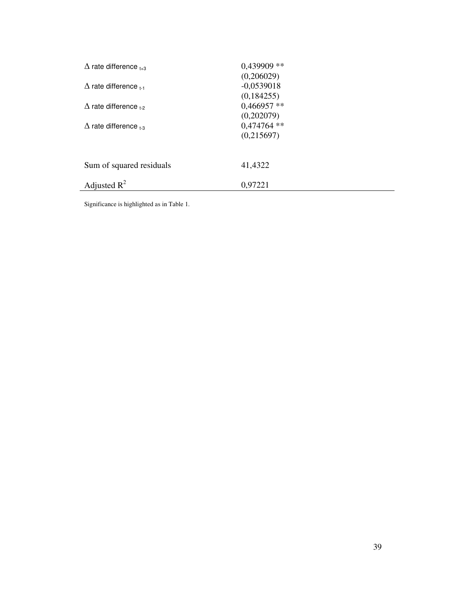| $\Delta$ rate difference $_{1+3}$ | $0,439909$ **<br>(0,206029) |
|-----------------------------------|-----------------------------|
| $\Delta$ rate difference $_{t-1}$ | $-0,0539018$<br>(0,184255)  |
| $\Delta$ rate difference $_{1-2}$ | $0,466957**$<br>(0,202079)  |
| $\Delta$ rate difference $_{1-3}$ | $0,474764$ **<br>(0,215697) |
| Sum of squared residuals          | 41,4322                     |
| Adjusted $R^2$                    | 0,97221                     |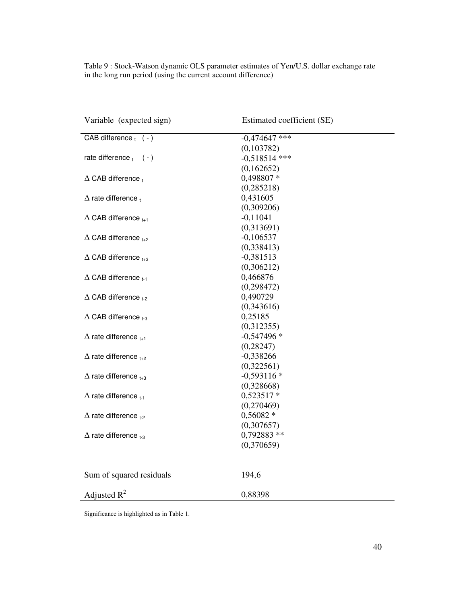| Variable (expected sign)          | Estimated coefficient (SE) |
|-----------------------------------|----------------------------|
| CAB difference $_{t}$ (-)         | $-0,474647$ ***            |
|                                   | (0,103782)                 |
| rate difference $_1$ (-)          | $-0,518514$ ***            |
|                                   | (0,162652)                 |
| $\Delta$ CAB difference $_t$      | 0,498807 *                 |
|                                   | (0, 285218)                |
| $\Delta$ rate difference,         | 0,431605                   |
|                                   | (0,309206)                 |
| $\Delta$ CAB difference $_{t+1}$  | $-0,11041$                 |
|                                   | (0,313691)                 |
| $\Delta$ CAB difference $_{t+2}$  | $-0,106537$                |
|                                   | (0,338413)                 |
| $\Delta$ CAB difference $_{t+3}$  | $-0,381513$                |
|                                   | (0,306212)                 |
| $\Delta$ CAB difference $t_{1}$   | 0,466876                   |
|                                   | (0, 298472)                |
| $\Delta$ CAB difference $_{t-2}$  | 0,490729                   |
|                                   | (0,343616)                 |
| $\Delta$ CAB difference $_{1.3}$  | 0,25185                    |
|                                   | (0,312355)                 |
| $\Delta$ rate difference $_{t+1}$ | $-0,547496*$               |
|                                   | (0, 28247)                 |
| $\Delta$ rate difference $_{t+2}$ | $-0,338266$                |
|                                   | (0,322561)                 |
| $\Delta$ rate difference $_{t+3}$ | $-0,593116*$               |
|                                   | (0,328668)                 |
| $\Delta$ rate difference $t-1$    | 0,523517 *                 |
|                                   | (0,270469)                 |
| $\Delta$ rate difference $_{t-2}$ | $0,56082*$                 |
|                                   | (0,307657)                 |
| $\Delta$ rate difference $_{1.3}$ | 0,792883 **                |
|                                   | (0,370659)                 |
|                                   |                            |
| Sum of squared residuals          | 194,6                      |
| Adjusted $R^2$                    | 0,88398                    |

Table 9 : Stock-Watson dynamic OLS parameter estimates of Yen/U.S. dollar exchange rate in the long run period (using the current account difference)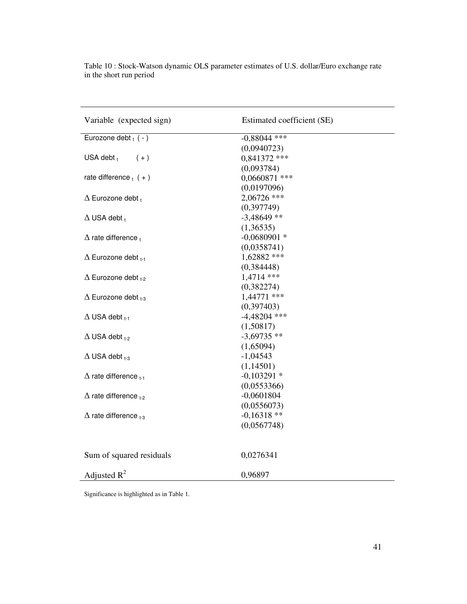| Variable (expected sign)           | Estimated coefficient (SE) |
|------------------------------------|----------------------------|
| Eurozone debt $_t$ ( - )           | $-0,88044$ ***             |
|                                    | (0,0940723)                |
| USA debt $t$<br>$(+)$              | $0,841372$ ***             |
|                                    | (0,093784)                 |
| rate difference $_{t}$ (+)         | $0,0660871$ ***            |
|                                    | (0,0197096)                |
| $\Delta$ Eurozone debt $_{t}$      | 2,06726 ***                |
|                                    | (0, 397749)                |
| $\Delta$ USA debt $_t$             | $-3,48649$ **              |
|                                    | (1,36535)                  |
| $\Delta$ rate difference $_t$      | $-0,0680901$ *             |
|                                    | (0,0358741)                |
| $\Delta$ Eurozone debt $_{t-1}$    | 1,62882 ***                |
|                                    | (0, 384448)                |
| $\Delta$ Eurozone debt $_{1-2}$    | 1,4714 ***                 |
|                                    | (0,382274)                 |
| $\Delta$ Eurozone debt $_{1,3}$    | 1,44771 ***                |
|                                    | (0,397403)                 |
| $\Delta$ USA debt $_{t-1}$         | $-4,48204$ ***             |
|                                    | (1,50817)                  |
| $\Delta$ USA debt $_{1-2}$         | $-3,69735$ **              |
|                                    | (1,65094)                  |
| $\Delta$ USA debt $_{1-3}$         | $-1,04543$                 |
|                                    | (1,14501)                  |
| $\Delta$ rate difference $t_{t-1}$ | $-0,103291*$               |
|                                    | (0,0553366)                |
| $\Delta$ rate difference $_{1-2}$  | $-0,0601804$               |
|                                    | (0,0556073)                |
| $\Delta$ rate difference $_{1.3}$  | $-0,16318**$               |
|                                    | (0,0567748)                |
| Sum of squared residuals           | 0,0276341                  |
| Adjusted $R^2$                     | 0,96897                    |

Table 10 : Stock-Watson dynamic OLS parameter estimates of U.S. dollar/Euro exchange rate in the short run period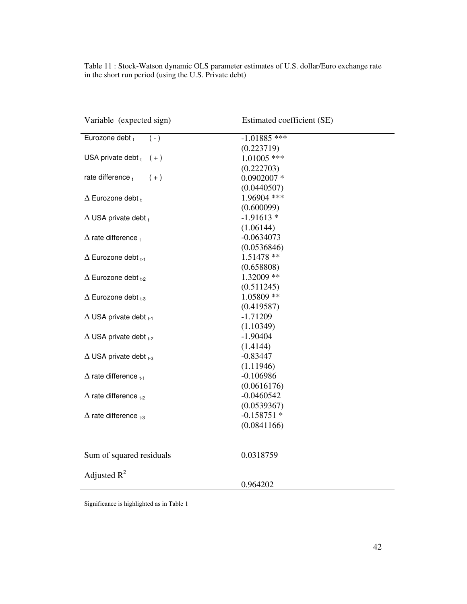| Variable (expected sign)                                               | Estimated coefficient (SE) |
|------------------------------------------------------------------------|----------------------------|
| Eurozone debt +<br>$(-)$                                               | $-1.01885$ ***             |
|                                                                        | (0.223719)                 |
| USA private debt $(t + )$                                              | $1.01005$ ***              |
|                                                                        | (0.222703)                 |
| rate difference t<br>$(+)$                                             | $0.0902007$ *              |
|                                                                        | (0.0440507)                |
| $\Delta$ Eurozone debt $_{t}$                                          | 1.96904 ***                |
|                                                                        | (0.600099)                 |
| $\Delta$ USA private debt $_t$                                         | $-1.91613*$                |
|                                                                        | (1.06144)                  |
| $\Delta$ rate difference $_t$                                          | $-0.0634073$               |
|                                                                        | (0.0536846)                |
| $\Delta$ Eurozone debt $_{1.1}$                                        | 1.51478 **                 |
|                                                                        | (0.658808)                 |
| $\Delta$ Eurozone debt $_{t-2}$                                        | 1.32009 **                 |
|                                                                        | (0.511245)                 |
| $\Delta$ Eurozone debt $_{t-3}$                                        | 1.05809 **                 |
|                                                                        | (0.419587)                 |
| $\Delta$ USA private debt $_{t-1}$                                     | $-1.71209$                 |
|                                                                        | (1.10349)                  |
| $\Delta$ USA private debt $_{1-2}$                                     | $-1.90404$                 |
|                                                                        | (1.4144)                   |
| $\Delta$ USA private debt $_{t-3}$                                     | $-0.83447$                 |
|                                                                        | (1.11946)                  |
| $\Delta$ rate difference $_{t-1}$                                      | $-0.106986$                |
|                                                                        | (0.0616176)                |
| $\Delta$ rate difference $_{1-2}$<br>$\Delta$ rate difference $_{1,3}$ | $-0.0460542$               |
|                                                                        | (0.0539367)                |
|                                                                        | $-0.158751*$               |
|                                                                        | (0.0841166)                |
| Sum of squared residuals                                               | 0.0318759                  |
| Adjusted $R^2$                                                         |                            |
|                                                                        | 0.964202                   |

Table 11 : Stock-Watson dynamic OLS parameter estimates of U.S. dollar/Euro exchange rate in the short run period (using the U.S. Private debt)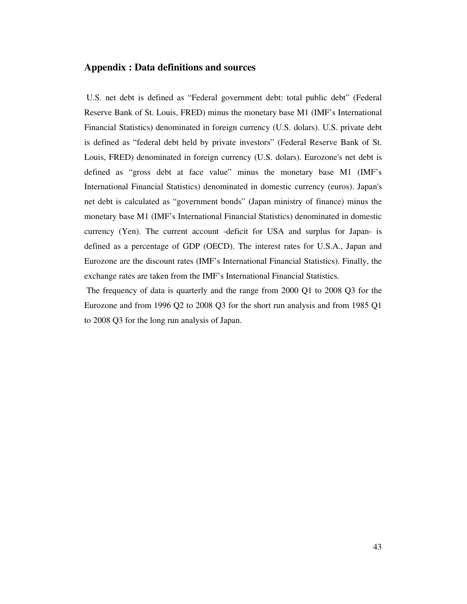#### **Appendix : Data definitions and sources**

 U.S. net debt is defined as "Federal government debt: total public debt" (Federal Reserve Bank of St. Louis, FRED) minus the monetary base M1 (IMF's International Financial Statistics) denominated in foreign currency (U.S. dolars). U.S. private debt is defined as "federal debt held by private investors" (Federal Reserve Bank of St. Louis, FRED) denominated in foreign currency (U.S. dolars). Eurozone's net debt is defined as "gross debt at face value" minus the monetary base M1 (IMF's International Financial Statistics) denominated in domestic currency (euros). Japan's net debt is calculated as "government bonds" (Japan ministry of finance) minus the monetary base M1 (IMF's International Financial Statistics) denominated in domestic currency (Yen). The current account -deficit for USA and surplus for Japan- is defined as a percentage of GDP (OECD). The interest rates for U.S.A., Japan and Eurozone are the discount rates (IMF's International Financial Statistics). Finally, the exchange rates are taken from the IMF's International Financial Statistics.

 The frequency of data is quarterly and the range from 2000 Q1 to 2008 Q3 for the Eurozone and from 1996 Q2 to 2008 Q3 for the short run analysis and from 1985 Q1 to 2008 Q3 for the long run analysis of Japan.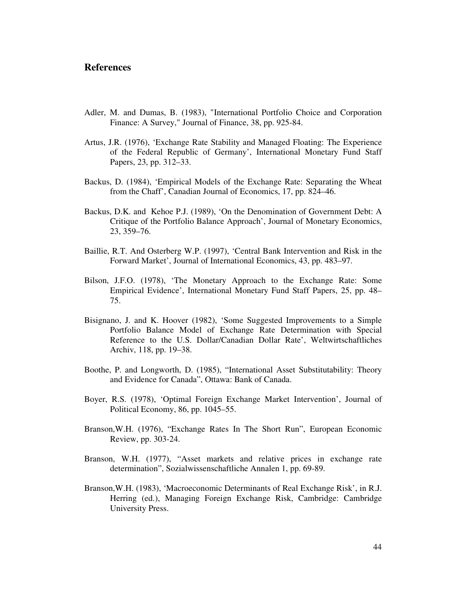### **References**

- Adler, M. and Dumas, B. (1983), "International Portfolio Choice and Corporation Finance: A Survey," Journal of Finance, 38, pp. 925-84.
- Artus, J.R. (1976), 'Exchange Rate Stability and Managed Floating: The Experience of the Federal Republic of Germany', International Monetary Fund Staff Papers, 23, pp. 312–33.
- Backus, D. (1984), 'Empirical Models of the Exchange Rate: Separating the Wheat from the Chaff', Canadian Journal of Economics, 17, pp. 824–46.
- Backus, D.K. and Kehoe P.J. (1989), 'On the Denomination of Government Debt: A Critique of the Portfolio Balance Approach', Journal of Monetary Economics, 23, 359–76.
- Baillie, R.T. And Osterberg W.P. (1997), 'Central Bank Intervention and Risk in the Forward Market', Journal of International Economics, 43, pp. 483–97.
- Bilson, J.F.O. (1978), 'The Monetary Approach to the Exchange Rate: Some Empirical Evidence', International Monetary Fund Staff Papers, 25, pp. 48– 75.
- Bisignano, J. and K. Hoover (1982), 'Some Suggested Improvements to a Simple Portfolio Balance Model of Exchange Rate Determination with Special Reference to the U.S. Dollar/Canadian Dollar Rate', Weltwirtschaftliches Archiv, 118, pp. 19–38.
- Boothe, P. and Longworth, D. (1985), "International Asset Substitutability: Theory and Evidence for Canada", Ottawa: Bank of Canada.
- Boyer, R.S. (1978), 'Optimal Foreign Exchange Market Intervention', Journal of Political Economy, 86, pp. 1045–55.
- Branson,W.H. (1976), "Exchange Rates In The Short Run", European Economic Review, pp. 303-24.
- Branson, W.H. (1977), "Asset markets and relative prices in exchange rate determination", Sozialwissenschaftliche Annalen 1, pp. 69-89.
- Branson,W.H. (1983), 'Macroeconomic Determinants of Real Exchange Risk', in R.J. Herring (ed.), Managing Foreign Exchange Risk, Cambridge: Cambridge University Press.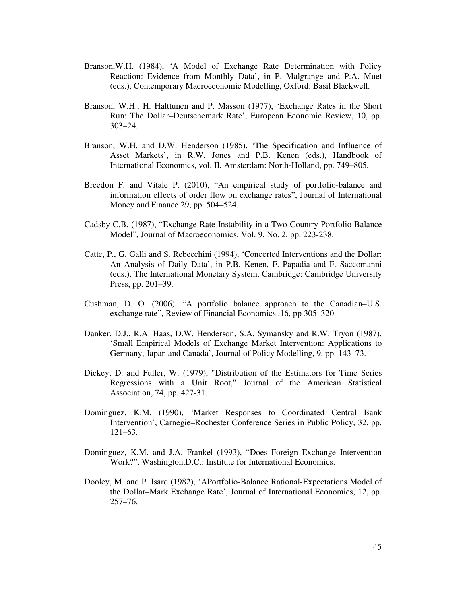- Branson,W.H. (1984), 'A Model of Exchange Rate Determination with Policy Reaction: Evidence from Monthly Data', in P. Malgrange and P.A. Muet (eds.), Contemporary Macroeconomic Modelling, Oxford: Basil Blackwell.
- Branson, W.H., H. Halttunen and P. Masson (1977), 'Exchange Rates in the Short Run: The Dollar–Deutschemark Rate', European Economic Review, 10, pp. 303–24.
- Branson, W.H. and D.W. Henderson (1985), 'The Specification and Influence of Asset Markets', in R.W. Jones and P.B. Kenen (eds.), Handbook of International Economics, vol. II, Amsterdam: North-Holland, pp. 749–805.
- Breedon F. and Vitale P. (2010), "An empirical study of portfolio-balance and information effects of order flow on exchange rates", Journal of International Money and Finance 29, pp. 504–524.
- Cadsby C.B. (1987), "Exchange Rate Instability in a Two-Country Portfolio Balance Model", Journal of Macroeconomics, Vol. 9, No. 2, pp. 223-238.
- Catte, P., G. Galli and S. Rebecchini (1994), 'Concerted Interventions and the Dollar: An Analysis of Daily Data', in P.B. Kenen, F. Papadia and F. Saccomanni (eds.), The International Monetary System, Cambridge: Cambridge University Press, pp. 201–39.
- Cushman, D. O. (2006). "A portfolio balance approach to the Canadian–U.S. exchange rate", Review of Financial Economics ,16, pp 305–320.
- Danker, D.J., R.A. Haas, D.W. Henderson, S.A. Symansky and R.W. Tryon (1987), 'Small Empirical Models of Exchange Market Intervention: Applications to Germany, Japan and Canada', Journal of Policy Modelling, 9, pp. 143–73.
- Dickey, D. and Fuller, W. (1979), "Distribution of the Estimators for Time Series Regressions with a Unit Root," Journal of the American Statistical Association, 74, pp. 427-31.
- Dominguez, K.M. (1990), 'Market Responses to Coordinated Central Bank Intervention', Carnegie–Rochester Conference Series in Public Policy, 32, pp. 121–63.
- Dominguez, K.M. and J.A. Frankel (1993), "Does Foreign Exchange Intervention Work?", Washington,D.C.: Institute for International Economics.
- Dooley, M. and P. Isard (1982), 'APortfolio-Balance Rational-Expectations Model of the Dollar–Mark Exchange Rate', Journal of International Economics, 12, pp. 257–76.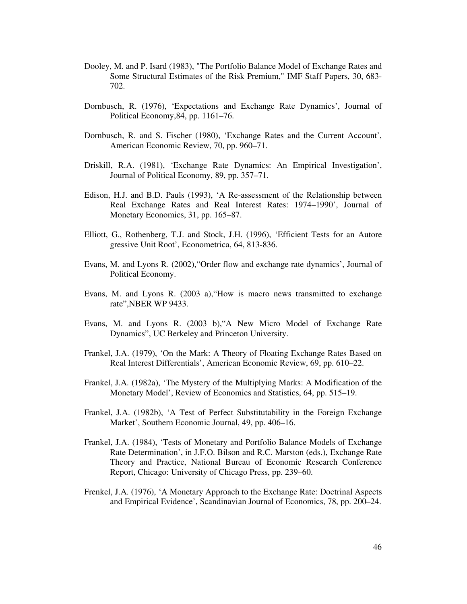- Dooley, M. and P. Isard (1983), "The Portfolio Balance Model of Exchange Rates and Some Structural Estimates of the Risk Premium," IMF Staff Papers, 30, 683- 702.
- Dornbusch, R. (1976), 'Expectations and Exchange Rate Dynamics', Journal of Political Economy,84, pp. 1161–76.
- Dornbusch, R. and S. Fischer (1980), 'Exchange Rates and the Current Account', American Economic Review, 70, pp. 960–71.
- Driskill, R.A. (1981), 'Exchange Rate Dynamics: An Empirical Investigation', Journal of Political Economy, 89, pp. 357–71.
- Edison, H.J. and B.D. Pauls (1993), 'A Re-assessment of the Relationship between Real Exchange Rates and Real Interest Rates: 1974–1990', Journal of Monetary Economics, 31, pp. 165–87.
- Elliott, G., Rothenberg, T.J. and Stock, J.H. (1996), 'Efficient Tests for an Autore gressive Unit Root', Econometrica, 64, 813-836.
- Evans, M. and Lyons R. (2002),"Order flow and exchange rate dynamics', Journal of Political Economy.
- Evans, M. and Lyons R. (2003 a),"How is macro news transmitted to exchange rate",NBER WP 9433.
- Evans, M. and Lyons R. (2003 b),"A New Micro Model of Exchange Rate Dynamics", UC Berkeley and Princeton University.
- Frankel, J.A. (1979), 'On the Mark: A Theory of Floating Exchange Rates Based on Real Interest Differentials', American Economic Review, 69, pp. 610–22.
- Frankel, J.A. (1982a), 'The Mystery of the Multiplying Marks: A Modification of the Monetary Model', Review of Economics and Statistics, 64, pp. 515–19.
- Frankel, J.A. (1982b), 'A Test of Perfect Substitutability in the Foreign Exchange Market', Southern Economic Journal, 49, pp. 406–16.
- Frankel, J.A. (1984), 'Tests of Monetary and Portfolio Balance Models of Exchange Rate Determination', in J.F.O. Bilson and R.C. Marston (eds.), Exchange Rate Theory and Practice, National Bureau of Economic Research Conference Report, Chicago: University of Chicago Press, pp. 239–60.
- Frenkel, J.A. (1976), 'A Monetary Approach to the Exchange Rate: Doctrinal Aspects and Empirical Evidence', Scandinavian Journal of Economics, 78, pp. 200–24.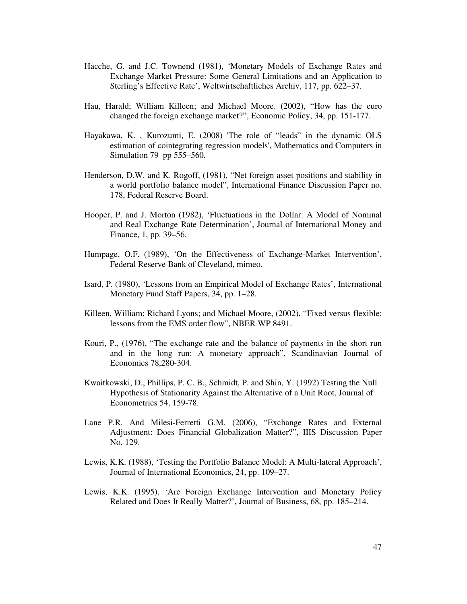- Hacche, G. and J.C. Townend (1981), 'Monetary Models of Exchange Rates and Exchange Market Pressure: Some General Limitations and an Application to Sterling's Effective Rate', Weltwirtschaftliches Archiv, 117, pp. 622–37.
- Hau, Harald; William Killeen; and Michael Moore. (2002), "How has the euro changed the foreign exchange market?", Economic Policy, 34, pp. 151-177.
- Hayakawa, K. , Kurozumi, E. (2008) 'The role of "leads" in the dynamic OLS estimation of cointegrating regression models', Mathematics and Computers in Simulation 79 pp 555–560*.*
- Henderson, D.W. and K. Rogoff, (1981), "Net foreign asset positions and stability in a world portfolio balance model", International Finance Discussion Paper no. 178, Federal Reserve Board.
- Hooper, P. and J. Morton (1982), 'Fluctuations in the Dollar: A Model of Nominal and Real Exchange Rate Determination', Journal of International Money and Finance, 1, pp. 39–56.
- Humpage, O.F. (1989), 'On the Effectiveness of Exchange-Market Intervention', Federal Reserve Bank of Cleveland, mimeo.
- Isard, P. (1980), 'Lessons from an Empirical Model of Exchange Rates', International Monetary Fund Staff Papers, 34, pp. 1–28.
- Killeen, William; Richard Lyons; and Michael Moore, (2002), "Fixed versus flexible: lessons from the EMS order flow", NBER WP 8491.
- Kouri, P., (1976), "The exchange rate and the balance of payments in the short run and in the long run: A monetary approach", Scandinavian Journal of Economics 78,280-304.
- Kwaitkowski, D., Phillips, P. C. B., Schmidt, P. and Shin, Y. (1992) Testing the Null Hypothesis of Stationarity Against the Alternative of a Unit Root, Journal of Econometrics 54, 159-78.
- Lane P.R. And Milesi-Ferretti G.M. (2006), "Exchange Rates and External Adjustment: Does Financial Globalization Matter?", IIIS Discussion Paper No. 129.
- Lewis, K.K. (1988), 'Testing the Portfolio Balance Model: A Multi-lateral Approach', Journal of International Economics, 24, pp. 109–27.
- Lewis, K.K. (1995), 'Are Foreign Exchange Intervention and Monetary Policy Related and Does It Really Matter?', Journal of Business, 68, pp. 185–214.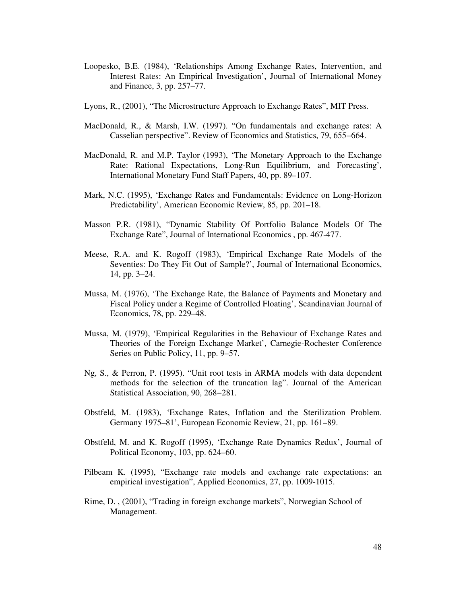- Loopesko, B.E. (1984), 'Relationships Among Exchange Rates, Intervention, and Interest Rates: An Empirical Investigation', Journal of International Money and Finance, 3, pp. 257–77.
- Lyons, R., (2001), "The Microstructure Approach to Exchange Rates", MIT Press.
- MacDonald, R., & Marsh, I.W. (1997). "On fundamentals and exchange rates: A Casselian perspective". Review of Economics and Statistics, 79, 655−664.
- MacDonald, R. and M.P. Taylor (1993), 'The Monetary Approach to the Exchange Rate: Rational Expectations, Long-Run Equilibrium, and Forecasting', International Monetary Fund Staff Papers, 40, pp. 89–107.
- Mark, N.C. (1995), 'Exchange Rates and Fundamentals: Evidence on Long-Horizon Predictability', American Economic Review, 85, pp. 201–18.
- Masson P.R. (1981), "Dynamic Stability Of Portfolio Balance Models Of The Exchange Rate", Journal of International Economics , pp. 467-477.
- Meese, R.A. and K. Rogoff (1983), 'Empirical Exchange Rate Models of the Seventies: Do They Fit Out of Sample?', Journal of International Economics, 14, pp. 3–24.
- Mussa, M. (1976), 'The Exchange Rate, the Balance of Payments and Monetary and Fiscal Policy under a Regime of Controlled Floating', Scandinavian Journal of Economics, 78, pp. 229–48.
- Mussa, M. (1979), 'Empirical Regularities in the Behaviour of Exchange Rates and Theories of the Foreign Exchange Market', Carnegie-Rochester Conference Series on Public Policy, 11, pp. 9–57.
- Ng, S., & Perron, P. (1995). "Unit root tests in ARMA models with data dependent methods for the selection of the truncation lag". Journal of the American Statistical Association, 90, 268−281.
- Obstfeld, M. (1983), 'Exchange Rates, Inflation and the Sterilization Problem. Germany 1975–81', European Economic Review, 21, pp. 161–89.
- Obstfeld, M. and K. Rogoff (1995), 'Exchange Rate Dynamics Redux', Journal of Political Economy, 103, pp. 624–60.
- Pilbeam K. (1995), "Exchange rate models and exchange rate expectations: an empirical investigation", Applied Economics, 27, pp. 1009-1015.
- Rime, D. , (2001), "Trading in foreign exchange markets", Norwegian School of Management.